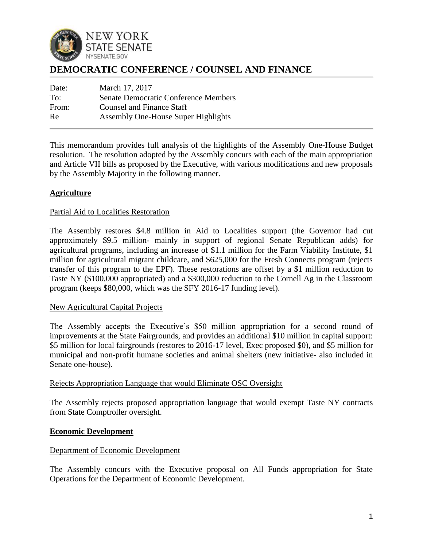

# **DEMOCRATIC CONFERENCE / COUNSEL AND FINANCE**

| Date: | March 17, 2017                              |
|-------|---------------------------------------------|
| To:   | <b>Senate Democratic Conference Members</b> |
| From: | <b>Counsel and Finance Staff</b>            |
| Re    | Assembly One-House Super Highlights         |

This memorandum provides full analysis of the highlights of the Assembly One-House Budget resolution. The resolution adopted by the Assembly concurs with each of the main appropriation and Article VII bills as proposed by the Executive, with various modifications and new proposals by the Assembly Majority in the following manner.

# **Agriculture**

# Partial Aid to Localities Restoration

The Assembly restores \$4.8 million in Aid to Localities support (the Governor had cut approximately \$9.5 million- mainly in support of regional Senate Republican adds) for agricultural programs, including an increase of \$1.1 million for the Farm Viability Institute, \$1 million for agricultural migrant childcare, and \$625,000 for the Fresh Connects program (rejects transfer of this program to the EPF). These restorations are offset by a \$1 million reduction to Taste NY (\$100,000 appropriated) and a \$300,000 reduction to the Cornell Ag in the Classroom program (keeps \$80,000, which was the SFY 2016-17 funding level).

### New Agricultural Capital Projects

The Assembly accepts the Executive's \$50 million appropriation for a second round of improvements at the State Fairgrounds, and provides an additional \$10 million in capital support: \$5 million for local fairgrounds (restores to 2016-17 level, Exec proposed \$0), and \$5 million for municipal and non-profit humane societies and animal shelters (new initiative- also included in Senate one-house).

### Rejects Appropriation Language that would Eliminate OSC Oversight

The Assembly rejects proposed appropriation language that would exempt Taste NY contracts from State Comptroller oversight.

### **Economic Development**

### Department of Economic Development

The Assembly concurs with the Executive proposal on All Funds appropriation for State Operations for the Department of Economic Development.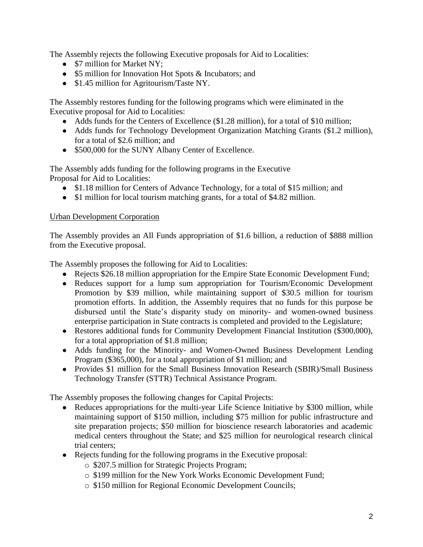The Assembly rejects the following Executive proposals for Aid to Localities:

- \$7 million for Market NY;
- \$5 million for Innovation Hot Spots & Incubators; and
- \$1.45 million for Agritourism/Taste NY.

The Assembly restores funding for the following programs which were eliminated in the Executive proposal for Aid to Localities:

- Adds funds for the Centers of Excellence (\$1.28 million), for a total of \$10 million;
- Adds funds for Technology Development Organization Matching Grants (\$1.2 million), for a total of \$2.6 million; and
- \$500,000 for the SUNY Albany Center of Excellence.

The Assembly adds funding for the following programs in the Executive Proposal for Aid to Localities:

- \$1.18 million for Centers of Advance Technology, for a total of \$15 million; and
- \$1 million for local tourism matching grants, for a total of \$4.82 million.

# Urban Development Corporation

The Assembly provides an All Funds appropriation of \$1.6 billion, a reduction of \$888 million from the Executive proposal.

The Assembly proposes the following for Aid to Localities:

- Rejects \$26.18 million appropriation for the Empire State Economic Development Fund;
- Reduces support for a lump sum appropriation for Tourism/Economic Development Promotion by \$39 million, while maintaining support of \$30.5 million for tourism promotion efforts. In addition, the Assembly requires that no funds for this purpose be disbursed until the State's disparity study on minority- and women-owned business enterprise participation in State contracts is completed and provided to the Legislature;
- Restores additional funds for Community Development Financial Institution (\$300,000), for a total appropriation of \$1.8 million;
- Adds funding for the Minority- and Women-Owned Business Development Lending Program (\$365,000), for a total appropriation of \$1 million; and
- Provides \$1 million for the Small Business Innovation Research (SBIR)/Small Business Technology Transfer (STTR) Technical Assistance Program.

The Assembly proposes the following changes for Capital Projects:

- Reduces appropriations for the multi-year Life Science Initiative by \$300 million, while maintaining support of \$150 million, including \$75 million for public infrastructure and site preparation projects; \$50 million for bioscience research laboratories and academic medical centers throughout the State; and \$25 million for neurological research clinical trial centers;
- Rejects funding for the following programs in the Executive proposal:
	- o \$207.5 million for Strategic Projects Program;
	- o \$199 million for the New York Works Economic Development Fund;
	- o \$150 million for Regional Economic Development Councils;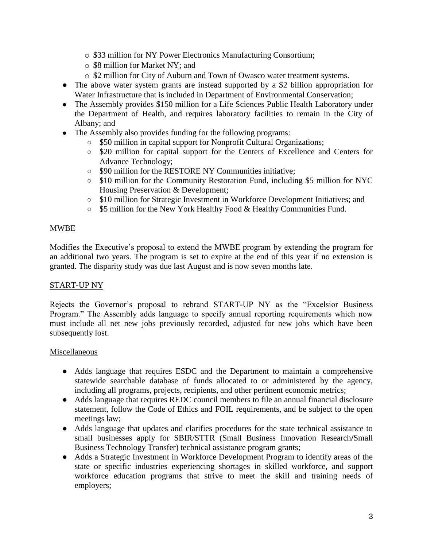- o \$33 million for NY Power Electronics Manufacturing Consortium;
- o \$8 million for Market NY; and
- o \$2 million for City of Auburn and Town of Owasco water treatment systems.
- The above water system grants are instead supported by a \$2 billion appropriation for Water Infrastructure that is included in Department of Environmental Conservation;
- The Assembly provides \$150 million for a Life Sciences Public Health Laboratory under the Department of Health, and requires laboratory facilities to remain in the City of Albany; and
- The Assembly also provides funding for the following programs:
	- \$50 million in capital support for Nonprofit Cultural Organizations;
	- \$20 million for capital support for the Centers of Excellence and Centers for Advance Technology;
	- \$90 million for the RESTORE NY Communities initiative;
	- \$10 million for the Community Restoration Fund, including \$5 million for NYC Housing Preservation & Development;
	- \$10 million for Strategic Investment in Workforce Development Initiatives; and
	- \$5 million for the New York Healthy Food & Healthy Communities Fund.

# MWBE

Modifies the Executive's proposal to extend the MWBE program by extending the program for an additional two years. The program is set to expire at the end of this year if no extension is granted. The disparity study was due last August and is now seven months late.

### START-UP NY

Rejects the Governor's proposal to rebrand START-UP NY as the "Excelsior Business Program." The Assembly adds language to specify annual reporting requirements which now must include all net new jobs previously recorded, adjusted for new jobs which have been subsequently lost.

### Miscellaneous

- Adds language that requires ESDC and the Department to maintain a comprehensive statewide searchable database of funds allocated to or administered by the agency, including all programs, projects, recipients, and other pertinent economic metrics;
- Adds language that requires REDC council members to file an annual financial disclosure statement, follow the Code of Ethics and FOIL requirements, and be subject to the open meetings law;
- Adds language that updates and clarifies procedures for the state technical assistance to small businesses apply for SBIR/STTR (Small Business Innovation Research**/**Small Business Technology Transfer) technical assistance program grants;
- Adds a Strategic Investment in Workforce Development Program to identify areas of the state or specific industries experiencing shortages in skilled workforce, and support workforce education programs that strive to meet the skill and training needs of employers;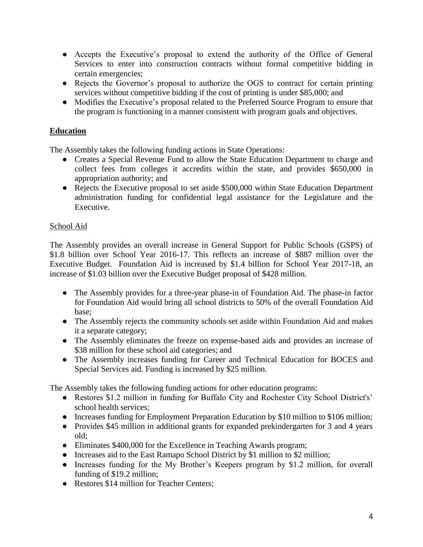- Accepts the Executive's proposal to extend the authority of the Office of General Services to enter into construction contracts without formal competitive bidding in certain emergencies;
- Rejects the Governor's proposal to authorize the OGS to contract for certain printing services without competitive bidding if the cost of printing is under \$85,000; and
- Modifies the Executive's proposal related to the Preferred Source Program to ensure that the program is functioning in a manner consistent with program goals and objectives.

# **Education**

The Assembly takes the following funding actions in State Operations:

- Creates a Special Revenue Fund to allow the State Education Department to charge and collect fees from colleges it accredits within the state, and provides \$650,000 in appropriation authority; and
- Rejects the Executive proposal to set aside \$500,000 within State Education Department administration funding for confidential legal assistance for the Legislature and the Executive.

# School Aid

The Assembly provides an overall increase in General Support for Public Schools (GSPS) of \$1.8 billion over School Year 2016-17. This reflects an increase of \$887 million over the Executive Budget. Foundation Aid is increased by \$1.4 billion for School Year 2017-18, an increase of \$1.03 billion over the Executive Budget proposal of \$428 million.

- The Assembly provides for a three-year phase-in of Foundation Aid. The phase-in factor for Foundation Aid would bring all school districts to 50% of the overall Foundation Aid base;
- The Assembly rejects the community schools set aside within Foundation Aid and makes it a separate category;
- The Assembly eliminates the freeze on expense-based aids and provides an increase of \$38 million for these school aid categories; and
- The Assembly increases funding for Career and Technical Education for BOCES and Special Services aid. Funding is increased by \$25 million.

The Assembly takes the following funding actions for other education programs:

- Restores \$1.2 million in funding for Buffalo City and Rochester City School District's' school health services;
- Increases funding for Employment Preparation Education by \$10 million to \$106 million;
- Provides \$45 million in additional grants for expanded prekindergarten for 3 and 4 years old;
- Eliminates \$400,000 for the Excellence in Teaching Awards program;
- Increases aid to the East Ramapo School District by \$1 million to \$2 million;
- Increases funding for the My Brother's Keepers program by \$1.2 million, for overall funding of \$19.2 million;
- Restores \$14 million for Teacher Centers: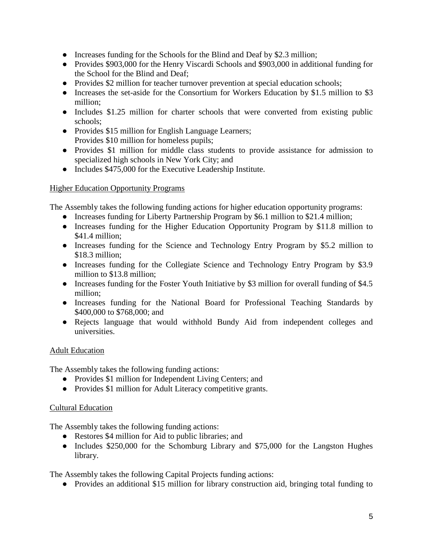- Increases funding for the Schools for the Blind and Deaf by \$2.3 million;
- Provides \$903,000 for the Henry Viscardi Schools and \$903,000 in additional funding for the School for the Blind and Deaf;
- Provides \$2 million for teacher turnover prevention at special education schools;
- Increases the set-aside for the Consortium for Workers Education by \$1.5 million to \$3 million;
- Includes \$1.25 million for charter schools that were converted from existing public schools;
- Provides \$15 million for English Language Learners; Provides \$10 million for homeless pupils;
- Provides \$1 million for middle class students to provide assistance for admission to specialized high schools in New York City; and
- Includes \$475,000 for the Executive Leadership Institute.

# Higher Education Opportunity Programs

The Assembly takes the following funding actions for higher education opportunity programs:

- Increases funding for Liberty Partnership Program by \$6.1 million to \$21.4 million;
- Increases funding for the Higher Education Opportunity Program by \$11.8 million to \$41.4 million;
- Increases funding for the Science and Technology Entry Program by \$5.2 million to \$18.3 million;
- Increases funding for the Collegiate Science and Technology Entry Program by \$3.9 million to \$13.8 million;
- Increases funding for the Foster Youth Initiative by \$3 million for overall funding of \$4.5 million;
- Increases funding for the National Board for Professional Teaching Standards by \$400,000 to \$768,000; and
- Rejects language that would withhold Bundy Aid from independent colleges and universities.

# Adult Education

The Assembly takes the following funding actions:

- Provides \$1 million for Independent Living Centers; and
- Provides \$1 million for Adult Literacy competitive grants.

# Cultural Education

The Assembly takes the following funding actions:

- Restores \$4 million for Aid to public libraries; and
- Includes \$250,000 for the Schomburg Library and \$75,000 for the Langston Hughes library.

The Assembly takes the following Capital Projects funding actions:

● Provides an additional \$15 million for library construction aid, bringing total funding to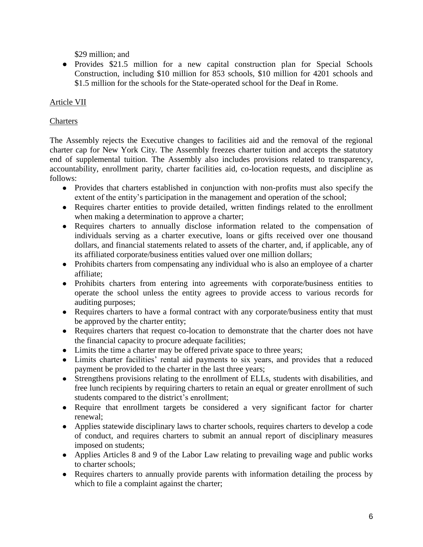\$29 million; and

• Provides \$21.5 million for a new capital construction plan for Special Schools Construction, including \$10 million for 853 schools, \$10 million for 4201 schools and \$1.5 million for the schools for the State-operated school for the Deaf in Rome.

# Article VII

# **Charters**

The Assembly rejects the Executive changes to facilities aid and the removal of the regional charter cap for New York City. The Assembly freezes charter tuition and accepts the statutory end of supplemental tuition. The Assembly also includes provisions related to transparency, accountability, enrollment parity, charter facilities aid, co-location requests, and discipline as follows:

- Provides that charters established in conjunction with non-profits must also specify the extent of the entity's participation in the management and operation of the school;
- Requires charter entities to provide detailed, written findings related to the enrollment when making a determination to approve a charter;
- Requires charters to annually disclose information related to the compensation of individuals serving as a charter executive, loans or gifts received over one thousand dollars, and financial statements related to assets of the charter, and, if applicable, any of its affiliated corporate/business entities valued over one million dollars;
- Prohibits charters from compensating any individual who is also an employee of a charter affiliate;
- Prohibits charters from entering into agreements with corporate/business entities to operate the school unless the entity agrees to provide access to various records for auditing purposes;
- Requires charters to have a formal contract with any corporate/business entity that must be approved by the charter entity;
- Requires charters that request co-location to demonstrate that the charter does not have the financial capacity to procure adequate facilities;
- Limits the time a charter may be offered private space to three years;
- Limits charter facilities' rental aid payments to six years, and provides that a reduced payment be provided to the charter in the last three years;
- Strengthens provisions relating to the enrollment of ELLs, students with disabilities, and free lunch recipients by requiring charters to retain an equal or greater enrollment of such students compared to the district's enrollment;
- Require that enrollment targets be considered a very significant factor for charter renewal;
- Applies statewide disciplinary laws to charter schools, requires charters to develop a code of conduct, and requires charters to submit an annual report of disciplinary measures imposed on students;
- Applies Articles 8 and 9 of the Labor Law relating to prevailing wage and public works to charter schools;
- Requires charters to annually provide parents with information detailing the process by which to file a complaint against the charter;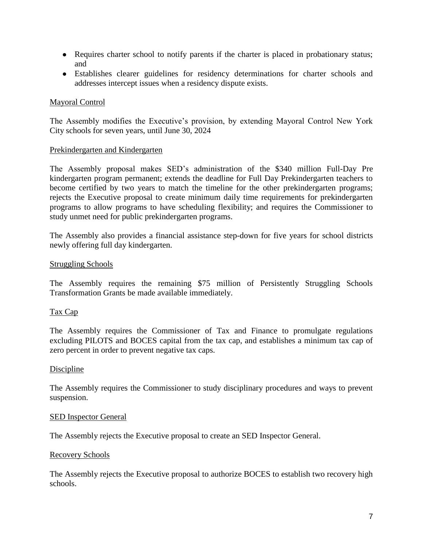- Requires charter school to notify parents if the charter is placed in probationary status; and
- Establishes clearer guidelines for residency determinations for charter schools and addresses intercept issues when a residency dispute exists.

# Mayoral Control

The Assembly modifies the Executive's provision, by extending Mayoral Control New York City schools for seven years, until June 30, 2024

# Prekindergarten and Kindergarten

The Assembly proposal makes SED's administration of the \$340 million Full-Day Pre kindergarten program permanent; extends the deadline for Full Day Prekindergarten teachers to become certified by two years to match the timeline for the other prekindergarten programs; rejects the Executive proposal to create minimum daily time requirements for prekindergarten programs to allow programs to have scheduling flexibility; and requires the Commissioner to study unmet need for public prekindergarten programs.

The Assembly also provides a financial assistance step-down for five years for school districts newly offering full day kindergarten.

# Struggling Schools

The Assembly requires the remaining \$75 million of Persistently Struggling Schools Transformation Grants be made available immediately.

# Tax Cap

The Assembly requires the Commissioner of Tax and Finance to promulgate regulations excluding PILOTS and BOCES capital from the tax cap, and establishes a minimum tax cap of zero percent in order to prevent negative tax caps.

### Discipline

The Assembly requires the Commissioner to study disciplinary procedures and ways to prevent suspension.

### SED Inspector General

The Assembly rejects the Executive proposal to create an SED Inspector General.

### Recovery Schools

The Assembly rejects the Executive proposal to authorize BOCES to establish two recovery high schools.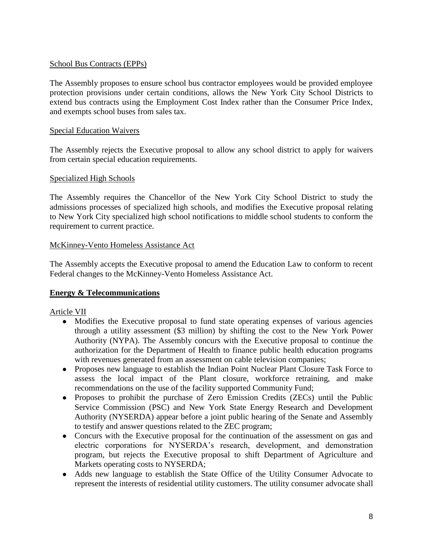# School Bus Contracts (EPPs)

The Assembly proposes to ensure school bus contractor employees would be provided employee protection provisions under certain conditions, allows the New York City School Districts to extend bus contracts using the Employment Cost Index rather than the Consumer Price Index, and exempts school buses from sales tax.

## Special Education Waivers

The Assembly rejects the Executive proposal to allow any school district to apply for waivers from certain special education requirements.

# Specialized High Schools

The Assembly requires the Chancellor of the New York City School District to study the admissions processes of specialized high schools, and modifies the Executive proposal relating to New York City specialized high school notifications to middle school students to conform the requirement to current practice.

# McKinney-Vento Homeless Assistance Act

The Assembly accepts the Executive proposal to amend the Education Law to conform to recent Federal changes to the McKinney-Vento Homeless Assistance Act.

# **Energy & Telecommunications**

# Article VII

- Modifies the Executive proposal to fund state operating expenses of various agencies through a utility assessment (\$3 million) by shifting the cost to the New York Power Authority (NYPA). The Assembly concurs with the Executive proposal to continue the authorization for the Department of Health to finance public health education programs with revenues generated from an assessment on cable television companies;
- Proposes new language to establish the Indian Point Nuclear Plant Closure Task Force to assess the local impact of the Plant closure, workforce retraining, and make recommendations on the use of the facility supported Community Fund;
- Proposes to prohibit the purchase of Zero Emission Credits (ZECs) until the Public Service Commission (PSC) and New York State Energy Research and Development Authority (NYSERDA) appear before a joint public hearing of the Senate and Assembly to testify and answer questions related to the ZEC program;
- Concurs with the Executive proposal for the continuation of the assessment on gas and electric corporations for NYSERDA's research, development, and demonstration program, but rejects the Executive proposal to shift Department of Agriculture and Markets operating costs to NYSERDA;
- Adds new language to establish the State Office of the Utility Consumer Advocate to represent the interests of residential utility customers. The utility consumer advocate shall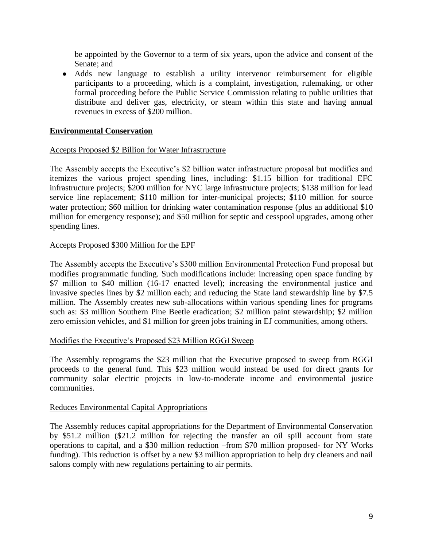be appointed by the Governor to a term of six years, upon the advice and consent of the Senate; and

● Adds new language to establish a utility intervenor reimbursement for eligible participants to a proceeding, which is a complaint, investigation, rulemaking, or other formal proceeding before the Public Service Commission relating to public utilities that distribute and deliver gas, electricity, or steam within this state and having annual revenues in excess of \$200 million.

# **Environmental Conservation**

### Accepts Proposed \$2 Billion for Water Infrastructure

The Assembly accepts the Executive's \$2 billion water infrastructure proposal but modifies and itemizes the various project spending lines, including: \$1.15 billion for traditional EFC infrastructure projects; \$200 million for NYC large infrastructure projects; \$138 million for lead service line replacement; \$110 million for inter-municipal projects; \$110 million for source water protection; \$60 million for drinking water contamination response (plus an additional \$10) million for emergency response); and \$50 million for septic and cesspool upgrades, among other spending lines.

### Accepts Proposed \$300 Million for the EPF

The Assembly accepts the Executive's \$300 million Environmental Protection Fund proposal but modifies programmatic funding. Such modifications include: increasing open space funding by \$7 million to \$40 million (16-17 enacted level); increasing the environmental justice and invasive species lines by \$2 million each; and reducing the State land stewardship line by \$7.5 million. The Assembly creates new sub-allocations within various spending lines for programs such as: \$3 million Southern Pine Beetle eradication; \$2 million paint stewardship; \$2 million zero emission vehicles, and \$1 million for green jobs training in EJ communities, among others.

### Modifies the Executive's Proposed \$23 Million RGGI Sweep

The Assembly reprograms the \$23 million that the Executive proposed to sweep from RGGI proceeds to the general fund. This \$23 million would instead be used for direct grants for community solar electric projects in low-to-moderate income and environmental justice communities.

### Reduces Environmental Capital Appropriations

The Assembly reduces capital appropriations for the Department of Environmental Conservation by \$51.2 million (\$21.2 million for rejecting the transfer an oil spill account from state operations to capital, and a \$30 million reduction –from \$70 million proposed- for NY Works funding). This reduction is offset by a new \$3 million appropriation to help dry cleaners and nail salons comply with new regulations pertaining to air permits.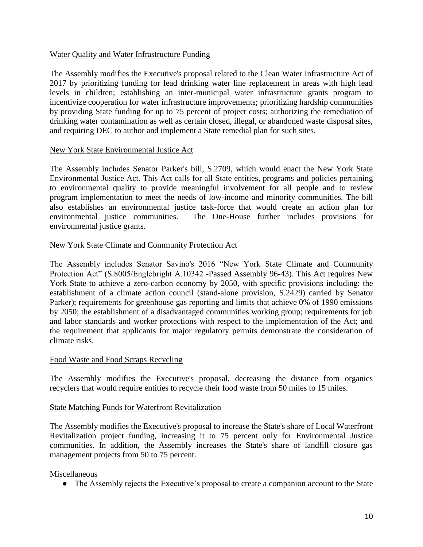## Water Quality and Water Infrastructure Funding

The Assembly modifies the Executive's proposal related to the Clean Water Infrastructure Act of 2017 by prioritizing funding for lead drinking water line replacement in areas with high lead levels in children; establishing an inter-municipal water infrastructure grants program to incentivize cooperation for water infrastructure improvements; prioritizing hardship communities by providing State funding for up to 75 percent of project costs; authorizing the remediation of drinking water contamination as well as certain closed, illegal, or abandoned waste disposal sites, and requiring DEC to author and implement a State remedial plan for such sites.

### New York State Environmental Justice Act

The Assembly includes Senator Parker's bill, S.2709, which would enact the New York State Environmental Justice Act. This Act calls for all State entities, programs and policies pertaining to environmental quality to provide meaningful involvement for all people and to review program implementation to meet the needs of low-income and minority communities. The bill also establishes an environmental justice task-force that would create an action plan for environmental justice communities. The One-House further includes provisions for environmental justice grants.

### New York State Climate and Community Protection Act

The Assembly includes Senator Savino's 2016 "New York State Climate and Community Protection Act" (S.8005/Englebright A.10342 -Passed Assembly 96-43). This Act requires New York State to achieve a zero-carbon economy by 2050, with specific provisions including: the establishment of a climate action council (stand-alone provision, S.2429) carried by Senator Parker); requirements for greenhouse gas reporting and limits that achieve 0% of 1990 emissions by 2050; the establishment of a disadvantaged communities working group; requirements for job and labor standards and worker protections with respect to the implementation of the Act; and the requirement that applicants for major regulatory permits demonstrate the consideration of climate risks.

### Food Waste and Food Scraps Recycling

The Assembly modifies the Executive's proposal, decreasing the distance from organics recyclers that would require entities to recycle their food waste from 50 miles to 15 miles.

### State Matching Funds for Waterfront Revitalization

The Assembly modifies the Executive's proposal to increase the State's share of Local Waterfront Revitalization project funding, increasing it to 75 percent only for Environmental Justice communities. In addition, the Assembly increases the State's share of landfill closure gas management projects from 50 to 75 percent.

### Miscellaneous

● The Assembly rejects the Executive's proposal to create a companion account to the State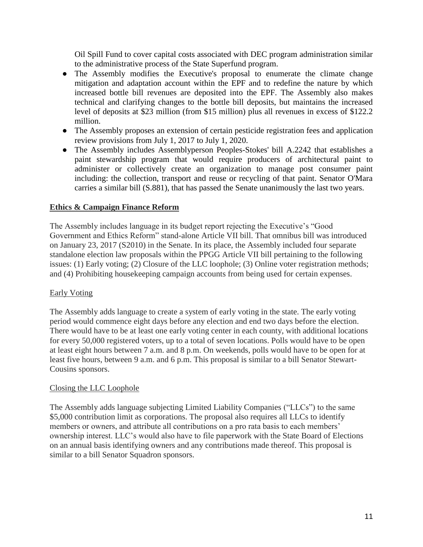Oil Spill Fund to cover capital costs associated with DEC program administration similar to the administrative process of the State Superfund program.

- The Assembly modifies the Executive's proposal to enumerate the climate change mitigation and adaptation account within the EPF and to redefine the nature by which increased bottle bill revenues are deposited into the EPF. The Assembly also makes technical and clarifying changes to the bottle bill deposits, but maintains the increased level of deposits at \$23 million (from \$15 million) plus all revenues in excess of \$122.2 million.
- The Assembly proposes an extension of certain pesticide registration fees and application review provisions from July 1, 2017 to July 1, 2020.
- The Assembly includes Assemblyperson Peoples-Stokes' bill A.2242 that establishes a paint stewardship program that would require producers of architectural paint to administer or collectively create an organization to manage post consumer paint including: the collection, transport and reuse or recycling of that paint. Senator O'Mara carries a similar bill (S.881), that has passed the Senate unanimously the last two years.

# **Ethics & Campaign Finance Reform**

The Assembly includes language in its budget report rejecting the Executive's "Good Government and Ethics Reform" stand-alone Article VII bill. That omnibus bill was introduced on January 23, 2017 (S2010) in the Senate. In its place, the Assembly included four separate standalone election law proposals within the PPGG Article VII bill pertaining to the following issues: (1) Early voting; (2) Closure of the LLC loophole; (3) Online voter registration methods; and (4) Prohibiting housekeeping campaign accounts from being used for certain expenses.

# Early Voting

The Assembly adds language to create a system of early voting in the state. The early voting period would commence eight days before any election and end two days before the election. There would have to be at least one early voting center in each county, with additional locations for every 50,000 registered voters, up to a total of seven locations. Polls would have to be open at least eight hours between 7 a.m. and 8 p.m. On weekends, polls would have to be open for at least five hours, between 9 a.m. and 6 p.m. This proposal is similar to a bill Senator Stewart-Cousins sponsors.

# Closing the LLC Loophole

The Assembly adds language subjecting Limited Liability Companies ("LLCs") to the same \$5,000 contribution limit as corporations. The proposal also requires all LLCs to identify members or owners, and attribute all contributions on a pro rata basis to each members' ownership interest. LLC's would also have to file paperwork with the State Board of Elections on an annual basis identifying owners and any contributions made thereof. This proposal is similar to a bill Senator Squadron sponsors.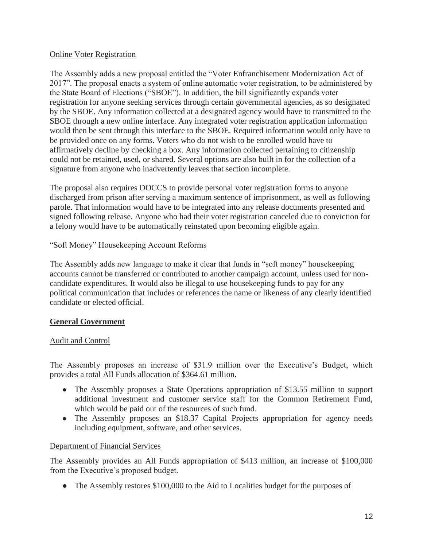# Online Voter Registration

The Assembly adds a new proposal entitled the "Voter Enfranchisement Modernization Act of 2017". The proposal enacts a system of online automatic voter registration, to be administered by the State Board of Elections ("SBOE"). In addition, the bill significantly expands voter registration for anyone seeking services through certain governmental agencies, as so designated by the SBOE. Any information collected at a designated agency would have to transmitted to the SBOE through a new online interface. Any integrated voter registration application information would then be sent through this interface to the SBOE. Required information would only have to be provided once on any forms. Voters who do not wish to be enrolled would have to affirmatively decline by checking a box. Any information collected pertaining to citizenship could not be retained, used, or shared. Several options are also built in for the collection of a signature from anyone who inadvertently leaves that section incomplete.

The proposal also requires DOCCS to provide personal voter registration forms to anyone discharged from prison after serving a maximum sentence of imprisonment, as well as following parole. That information would have to be integrated into any release documents presented and signed following release. Anyone who had their voter registration canceled due to conviction for a felony would have to be automatically reinstated upon becoming eligible again.

# "Soft Money" Housekeeping Account Reforms

The Assembly adds new language to make it clear that funds in "soft money" housekeeping accounts cannot be transferred or contributed to another campaign account, unless used for noncandidate expenditures. It would also be illegal to use housekeeping funds to pay for any political communication that includes or references the name or likeness of any clearly identified candidate or elected official.

# **General Government**

# Audit and Control

The Assembly proposes an increase of \$31.9 million over the Executive's Budget, which provides a total All Funds allocation of \$364.61 million.

- The Assembly proposes a State Operations appropriation of \$13.55 million to support additional investment and customer service staff for the Common Retirement Fund, which would be paid out of the resources of such fund.
- The Assembly proposes an \$18.37 Capital Projects appropriation for agency needs including equipment, software, and other services.

# Department of Financial Services

The Assembly provides an All Funds appropriation of \$413 million, an increase of \$100,000 from the Executive's proposed budget.

• The Assembly restores \$100,000 to the Aid to Localities budget for the purposes of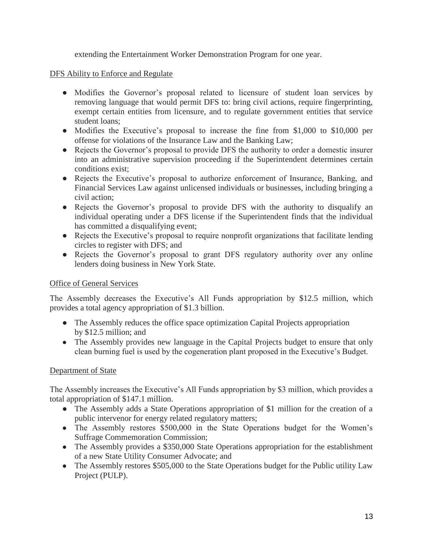extending the Entertainment Worker Demonstration Program for one year.

# DFS Ability to Enforce and Regulate

- Modifies the Governor's proposal related to licensure of student loan services by removing language that would permit DFS to: bring civil actions, require fingerprinting, exempt certain entities from licensure, and to regulate government entities that service student loans;
- Modifies the Executive's proposal to increase the fine from \$1,000 to \$10,000 per offense for violations of the Insurance Law and the Banking Law;
- Rejects the Governor's proposal to provide DFS the authority to order a domestic insurer into an administrative supervision proceeding if the Superintendent determines certain conditions exist;
- Rejects the Executive's proposal to authorize enforcement of Insurance, Banking, and Financial Services Law against unlicensed individuals or businesses, including bringing a civil action;
- Rejects the Governor's proposal to provide DFS with the authority to disqualify an individual operating under a DFS license if the Superintendent finds that the individual has committed a disqualifying event;
- Rejects the Executive's proposal to require nonprofit organizations that facilitate lending circles to register with DFS; and
- Rejects the Governor's proposal to grant DFS regulatory authority over any online lenders doing business in New York State.

# Office of General Services

The Assembly decreases the Executive's All Funds appropriation by \$12.5 million, which provides a total agency appropriation of \$1.3 billion.

- The Assembly reduces the office space optimization Capital Projects appropriation by \$12.5 million; and
- The Assembly provides new language in the Capital Projects budget to ensure that only clean burning fuel is used by the cogeneration plant proposed in the Executive's Budget.

# Department of State

The Assembly increases the Executive's All Funds appropriation by \$3 million, which provides a total appropriation of \$147.1 million.

- The Assembly adds a State Operations appropriation of \$1 million for the creation of a public intervenor for energy related regulatory matters;
- The Assembly restores \$500,000 in the State Operations budget for the Women's Suffrage Commemoration Commission;
- The Assembly provides a \$350,000 State Operations appropriation for the establishment of a new State Utility Consumer Advocate; and
- The Assembly restores \$505,000 to the State Operations budget for the Public utility Law Project (PULP).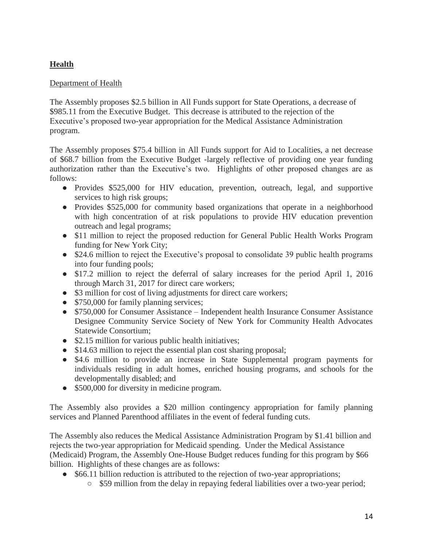# **Health**

# Department of Health

The Assembly proposes \$2.5 billion in All Funds support for State Operations, a decrease of \$985.11 from the Executive Budget. This decrease is attributed to the rejection of the Executive's proposed two-year appropriation for the Medical Assistance Administration program.

The Assembly proposes \$75.4 billion in All Funds support for Aid to Localities, a net decrease of \$68.7 billion from the Executive Budget -largely reflective of providing one year funding authorization rather than the Executive's two. Highlights of other proposed changes are as follows:

- Provides \$525,000 for HIV education, prevention, outreach, legal, and supportive services to high risk groups;
- Provides \$525,000 for community based organizations that operate in a neighborhood with high concentration of at risk populations to provide HIV education prevention outreach and legal programs;
- \$11 million to reject the proposed reduction for General Public Health Works Program funding for New York City;
- \$24.6 million to reject the Executive's proposal to consolidate 39 public health programs into four funding pools;
- \$17.2 million to reject the deferral of salary increases for the period April 1, 2016 through March 31, 2017 for direct care workers;
- \$3 million for cost of living adjustments for direct care workers;
- \$750,000 for family planning services;
- \$750,000 for Consumer Assistance Independent health Insurance Consumer Assistance Designee Community Service Society of New York for Community Health Advocates Statewide Consortium;
- \$2.15 million for various public health initiatives;
- \$14.63 million to reject the essential plan cost sharing proposal;
- \$4.6 million to provide an increase in State Supplemental program payments for individuals residing in adult homes, enriched housing programs, and schools for the developmentally disabled; and
- \$500,000 for diversity in medicine program.

The Assembly also provides a \$20 million contingency appropriation for family planning services and Planned Parenthood affiliates in the event of federal funding cuts.

The Assembly also reduces the Medical Assistance Administration Program by \$1.41 billion and rejects the two-year appropriation for Medicaid spending. Under the Medical Assistance (Medicaid) Program, the Assembly One-House Budget reduces funding for this program by \$66 billion. Highlights of these changes are as follows:

- \$66.11 billion reduction is attributed to the rejection of two-year appropriations;
	- \$59 million from the delay in repaying federal liabilities over a two-year period;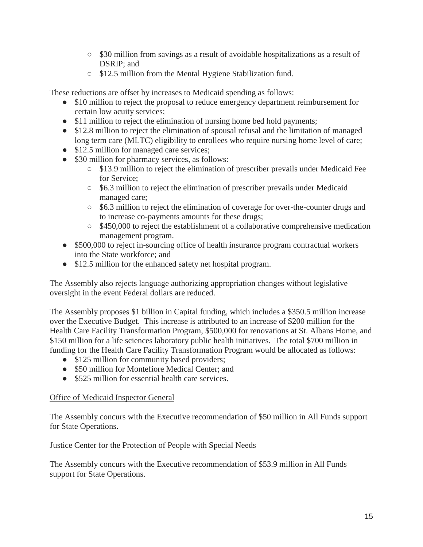- \$30 million from savings as a result of avoidable hospitalizations as a result of DSRIP; and
- \$12.5 million from the Mental Hygiene Stabilization fund.

These reductions are offset by increases to Medicaid spending as follows:

- \$10 million to reject the proposal to reduce emergency department reimbursement for certain low acuity services;
- \$11 million to reject the elimination of nursing home bed hold payments;
- \$12.8 million to reject the elimination of spousal refusal and the limitation of managed long term care (MLTC) eligibility to enrollees who require nursing home level of care;
- \$12.5 million for managed care services;
- \$30 million for pharmacy services, as follows:
	- \$13.9 million to reject the elimination of prescriber prevails under Medicaid Fee for Service;
	- \$6.3 million to reject the elimination of prescriber prevails under Medicaid managed care;
	- \$6.3 million to reject the elimination of coverage for over-the-counter drugs and to increase co-payments amounts for these drugs;
	- \$450,000 to reject the establishment of a collaborative comprehensive medication management program.
- \$500,000 to reject in-sourcing office of health insurance program contractual workers into the State workforce; and
- \$12.5 million for the enhanced safety net hospital program.

The Assembly also rejects language authorizing appropriation changes without legislative oversight in the event Federal dollars are reduced.

The Assembly proposes \$1 billion in Capital funding, which includes a \$350.5 million increase over the Executive Budget. This increase is attributed to an increase of \$200 million for the Health Care Facility Transformation Program, \$500,000 for renovations at St. Albans Home, and \$150 million for a life sciences laboratory public health initiatives. The total \$700 million in funding for the Health Care Facility Transformation Program would be allocated as follows:

- \$125 million for community based providers;
- \$50 million for Montefiore Medical Center; and
- \$525 million for essential health care services.

# Office of Medicaid Inspector General

The Assembly concurs with the Executive recommendation of \$50 million in All Funds support for State Operations.

### Justice Center for the Protection of People with Special Needs

The Assembly concurs with the Executive recommendation of \$53.9 million in All Funds support for State Operations.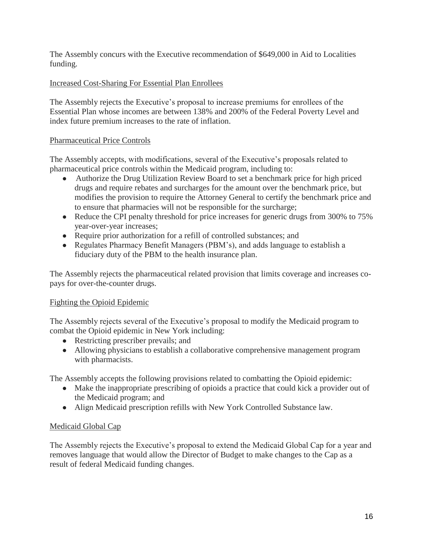The Assembly concurs with the Executive recommendation of \$649,000 in Aid to Localities funding.

# Increased Cost-Sharing For Essential Plan Enrollees

The Assembly rejects the Executive's proposal to increase premiums for enrollees of the Essential Plan whose incomes are between 138% and 200% of the Federal Poverty Level and index future premium increases to the rate of inflation.

# Pharmaceutical Price Controls

The Assembly accepts, with modifications, several of the Executive's proposals related to pharmaceutical price controls within the Medicaid program, including to:

- Authorize the Drug Utilization Review Board to set a benchmark price for high priced drugs and require rebates and surcharges for the amount over the benchmark price, but modifies the provision to require the Attorney General to certify the benchmark price and to ensure that pharmacies will not be responsible for the surcharge;
- Reduce the CPI penalty threshold for price increases for generic drugs from 300% to 75% year-over-year increases;
- Require prior authorization for a refill of controlled substances; and
- Regulates Pharmacy Benefit Managers (PBM's), and adds language to establish a fiduciary duty of the PBM to the health insurance plan.

The Assembly rejects the pharmaceutical related provision that limits coverage and increases copays for over-the-counter drugs.

# Fighting the Opioid Epidemic

The Assembly rejects several of the Executive's proposal to modify the Medicaid program to combat the Opioid epidemic in New York including:

- Restricting prescriber prevails; and
- Allowing physicians to establish a collaborative comprehensive management program with pharmacists.

The Assembly accepts the following provisions related to combatting the Opioid epidemic:

- Make the inappropriate prescribing of opioids a practice that could kick a provider out of the Medicaid program; and
- Align Medicaid prescription refills with New York Controlled Substance law.

# Medicaid Global Cap

The Assembly rejects the Executive's proposal to extend the Medicaid Global Cap for a year and removes language that would allow the Director of Budget to make changes to the Cap as a result of federal Medicaid funding changes.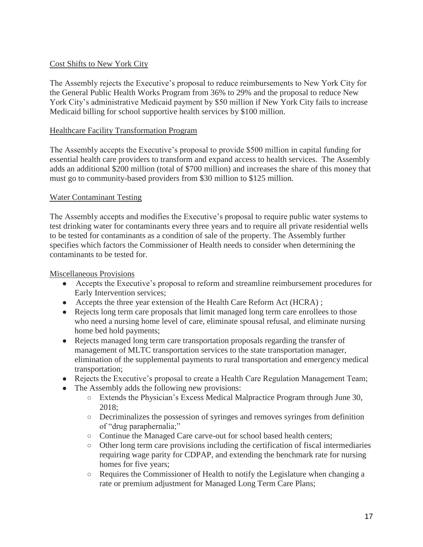# Cost Shifts to New York City

The Assembly rejects the Executive's proposal to reduce reimbursements to New York City for the General Public Health Works Program from 36% to 29% and the proposal to reduce New York City's administrative Medicaid payment by \$50 million if New York City fails to increase Medicaid billing for school supportive health services by \$100 million.

# Healthcare Facility Transformation Program

The Assembly accepts the Executive's proposal to provide \$500 million in capital funding for essential health care providers to transform and expand access to health services. The Assembly adds an additional \$200 million (total of \$700 million) and increases the share of this money that must go to community-based providers from \$30 million to \$125 million.

# Water Contaminant Testing

The Assembly accepts and modifies the Executive's proposal to require public water systems to test drinking water for contaminants every three years and to require all private residential wells to be tested for contaminants as a condition of sale of the property. The Assembly further specifies which factors the Commissioner of Health needs to consider when determining the contaminants to be tested for.

### Miscellaneous Provisions

- Accepts the Executive's proposal to reform and streamline reimbursement procedures for Early Intervention services;
- Accepts the three year extension of the Health Care Reform Act (HCRA);
- Rejects long term care proposals that limit managed long term care enrollees to those who need a nursing home level of care, eliminate spousal refusal, and eliminate nursing home bed hold payments;
- Rejects managed long term care transportation proposals regarding the transfer of management of MLTC transportation services to the state transportation manager, elimination of the supplemental payments to rural transportation and emergency medical transportation;
- Rejects the Executive's proposal to create a Health Care Regulation Management Team;
- The Assembly adds the following new provisions:
	- Extends the Physician's Excess Medical Malpractice Program through June 30, 2018;
	- Decriminalizes the possession of syringes and removes syringes from definition of "drug paraphernalia;"
	- Continue the Managed Care carve-out for school based health centers;
	- Other long term care provisions including the certification of fiscal intermediaries requiring wage parity for CDPAP, and extending the benchmark rate for nursing homes for five years;
	- Requires the Commissioner of Health to notify the Legislature when changing a rate or premium adjustment for Managed Long Term Care Plans;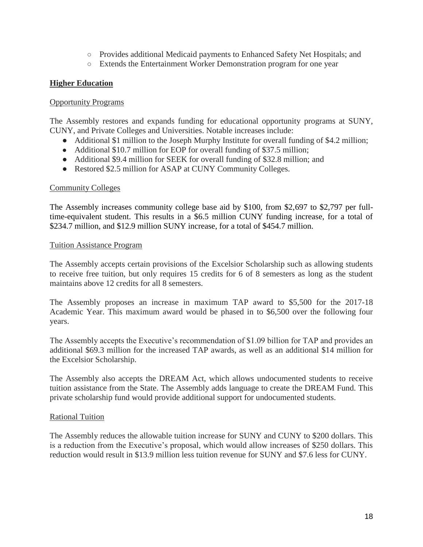- Provides additional Medicaid payments to Enhanced Safety Net Hospitals; and
- Extends the Entertainment Worker Demonstration program for one year

# **Higher Education**

#### Opportunity Programs

The Assembly restores and expands funding for educational opportunity programs at SUNY, CUNY, and Private Colleges and Universities. Notable increases include:

- Additional \$1 million to the Joseph Murphy Institute for overall funding of \$4.2 million;
- Additional \$10.7 million for EOP for overall funding of \$37.5 million;
- Additional \$9.4 million for SEEK for overall funding of \$32.8 million; and
- Restored \$2.5 million for ASAP at CUNY Community Colleges.

#### Community Colleges

The Assembly increases community college base aid by \$100, from \$2,697 to \$2,797 per fulltime-equivalent student. This results in a \$6.5 million CUNY funding increase, for a total of \$234.7 million, and \$12.9 million SUNY increase, for a total of \$454.7 million.

#### Tuition Assistance Program

The Assembly accepts certain provisions of the Excelsior Scholarship such as allowing students to receive free tuition, but only requires 15 credits for 6 of 8 semesters as long as the student maintains above 12 credits for all 8 semesters.

The Assembly proposes an increase in maximum TAP award to \$5,500 for the 2017-18 Academic Year. This maximum award would be phased in to \$6,500 over the following four years.

The Assembly accepts the Executive's recommendation of \$1.09 billion for TAP and provides an additional \$69.3 million for the increased TAP awards, as well as an additional \$14 million for the Excelsior Scholarship.

The Assembly also accepts the DREAM Act, which allows undocumented students to receive tuition assistance from the State. The Assembly adds language to create the DREAM Fund. This private scholarship fund would provide additional support for undocumented students.

### Rational Tuition

The Assembly reduces the allowable tuition increase for SUNY and CUNY to \$200 dollars. This is a reduction from the Executive's proposal, which would allow increases of \$250 dollars. This reduction would result in \$13.9 million less tuition revenue for SUNY and \$7.6 less for CUNY.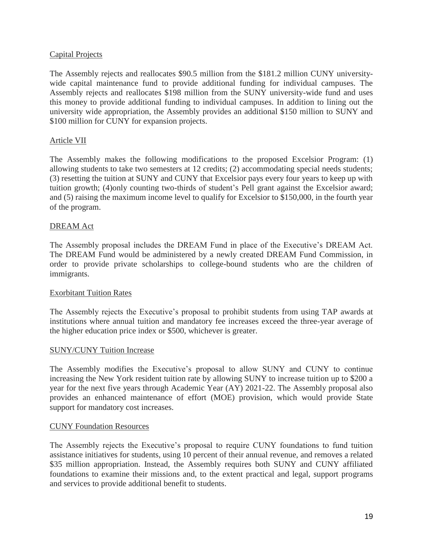## Capital Projects

The Assembly rejects and reallocates \$90.5 million from the \$181.2 million CUNY universitywide capital maintenance fund to provide additional funding for individual campuses. The Assembly rejects and reallocates \$198 million from the SUNY university-wide fund and uses this money to provide additional funding to individual campuses. In addition to lining out the university wide appropriation, the Assembly provides an additional \$150 million to SUNY and \$100 million for CUNY for expansion projects.

# Article VII

The Assembly makes the following modifications to the proposed Excelsior Program: (1) allowing students to take two semesters at 12 credits; (2) accommodating special needs students; (3) resetting the tuition at SUNY and CUNY that Excelsior pays every four years to keep up with tuition growth; (4)only counting two-thirds of student's Pell grant against the Excelsior award; and (5) raising the maximum income level to qualify for Excelsior to \$150,000, in the fourth year of the program.

### DREAM Act

The Assembly proposal includes the DREAM Fund in place of the Executive's DREAM Act. The DREAM Fund would be administered by a newly created DREAM Fund Commission, in order to provide private scholarships to college-bound students who are the children of immigrants.

### Exorbitant Tuition Rates

The Assembly rejects the Executive's proposal to prohibit students from using TAP awards at institutions where annual tuition and mandatory fee increases exceed the three-year average of the higher education price index or \$500, whichever is greater.

### SUNY/CUNY Tuition Increase

The Assembly modifies the Executive's proposal to allow SUNY and CUNY to continue increasing the New York resident tuition rate by allowing SUNY to increase tuition up to \$200 a year for the next five years through Academic Year (AY) 2021-22. The Assembly proposal also provides an enhanced maintenance of effort (MOE) provision, which would provide State support for mandatory cost increases.

### CUNY Foundation Resources

The Assembly rejects the Executive's proposal to require CUNY foundations to fund tuition assistance initiatives for students, using 10 percent of their annual revenue, and removes a related \$35 million appropriation. Instead, the Assembly requires both SUNY and CUNY affiliated foundations to examine their missions and, to the extent practical and legal, support programs and services to provide additional benefit to students.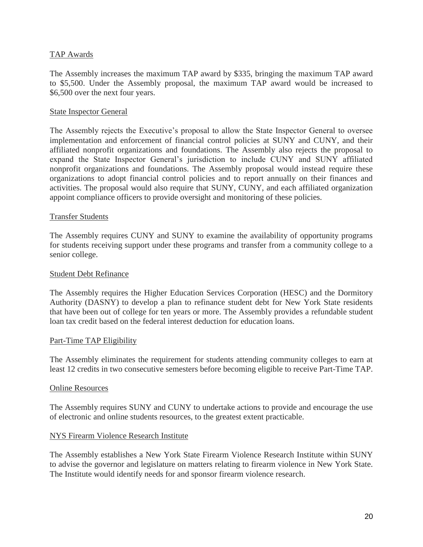## TAP Awards

The Assembly increases the maximum TAP award by \$335, bringing the maximum TAP award to \$5,500. Under the Assembly proposal, the maximum TAP award would be increased to \$6,500 over the next four years.

### State Inspector General

The Assembly rejects the Executive's proposal to allow the State Inspector General to oversee implementation and enforcement of financial control policies at SUNY and CUNY, and their affiliated nonprofit organizations and foundations. The Assembly also rejects the proposal to expand the State Inspector General's jurisdiction to include CUNY and SUNY affiliated nonprofit organizations and foundations. The Assembly proposal would instead require these organizations to adopt financial control policies and to report annually on their finances and activities. The proposal would also require that SUNY, CUNY, and each affiliated organization appoint compliance officers to provide oversight and monitoring of these policies.

### Transfer Students

The Assembly requires CUNY and SUNY to examine the availability of opportunity programs for students receiving support under these programs and transfer from a community college to a senior college.

#### Student Debt Refinance

The Assembly requires the Higher Education Services Corporation (HESC) and the Dormitory Authority (DASNY) to develop a plan to refinance student debt for New York State residents that have been out of college for ten years or more. The Assembly provides a refundable student loan tax credit based on the federal interest deduction for education loans.

### Part-Time TAP Eligibility

The Assembly eliminates the requirement for students attending community colleges to earn at least 12 credits in two consecutive semesters before becoming eligible to receive Part-Time TAP.

#### Online Resources

The Assembly requires SUNY and CUNY to undertake actions to provide and encourage the use of electronic and online students resources, to the greatest extent practicable.

#### NYS Firearm Violence Research Institute

The Assembly establishes a New York State Firearm Violence Research Institute within SUNY to advise the governor and legislature on matters relating to firearm violence in New York State. The Institute would identify needs for and sponsor firearm violence research.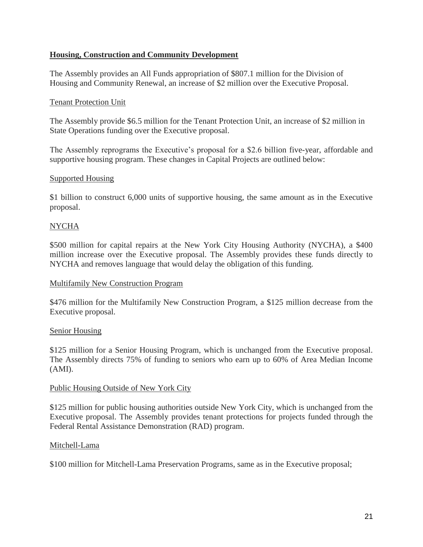# **Housing, Construction and Community Development**

The Assembly provides an All Funds appropriation of \$807.1 million for the Division of Housing and Community Renewal, an increase of \$2 million over the Executive Proposal.

### Tenant Protection Unit

The Assembly provide \$6.5 million for the Tenant Protection Unit, an increase of \$2 million in State Operations funding over the Executive proposal.

The Assembly reprograms the Executive's proposal for a \$2.6 billion five-year, affordable and supportive housing program. These changes in Capital Projects are outlined below:

### Supported Housing

\$1 billion to construct 6,000 units of supportive housing, the same amount as in the Executive proposal.

# NYCHA

\$500 million for capital repairs at the New York City Housing Authority (NYCHA), a \$400 million increase over the Executive proposal. The Assembly provides these funds directly to NYCHA and removes language that would delay the obligation of this funding.

### Multifamily New Construction Program

\$476 million for the Multifamily New Construction Program, a \$125 million decrease from the Executive proposal.

### Senior Housing

\$125 million for a Senior Housing Program, which is unchanged from the Executive proposal. The Assembly directs 75% of funding to seniors who earn up to 60% of Area Median Income (AMI).

### Public Housing Outside of New York City

\$125 million for public housing authorities outside New York City, which is unchanged from the Executive proposal. The Assembly provides tenant protections for projects funded through the Federal Rental Assistance Demonstration (RAD) program.

### Mitchell-Lama

\$100 million for Mitchell-Lama Preservation Programs, same as in the Executive proposal;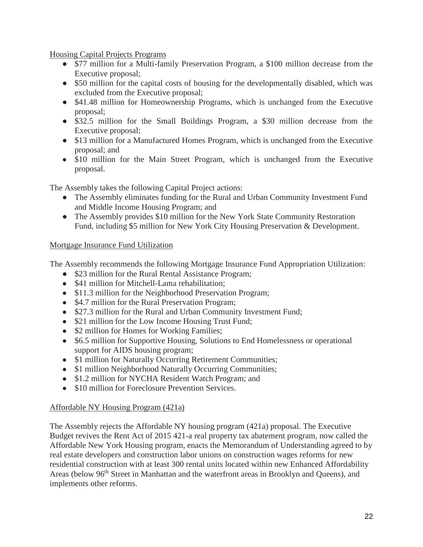Housing Capital Projects Programs

- \$77 million for a Multi-family Preservation Program, a \$100 million decrease from the Executive proposal;
- \$50 million for the capital costs of housing for the developmentally disabled, which was excluded from the Executive proposal;
- \$41.48 million for Homeownership Programs, which is unchanged from the Executive proposal;
- \$32.5 million for the Small Buildings Program, a \$30 million decrease from the Executive proposal;
- \$13 million for a Manufactured Homes Program, which is unchanged from the Executive proposal; and
- \$10 million for the Main Street Program, which is unchanged from the Executive proposal.

The Assembly takes the following Capital Project actions:

- The Assembly eliminates funding for the Rural and Urban Community Investment Fund and Middle Income Housing Program; and
- The Assembly provides \$10 million for the New York State Community Restoration Fund, including \$5 million for New York City Housing Preservation & Development.

# Mortgage Insurance Fund Utilization

The Assembly recommends the following Mortgage Insurance Fund Appropriation Utilization:

- \$23 million for the Rural Rental Assistance Program;
- \$41 million for Mitchell-Lama rehabilitation;
- \$11.3 million for the Neighborhood Preservation Program;
- \$4.7 million for the Rural Preservation Program;
- \$27.3 million for the Rural and Urban Community Investment Fund;
- \$21 million for the Low Income Housing Trust Fund;
- \$2 million for Homes for Working Families;
- \$6.5 million for Supportive Housing, Solutions to End Homelessness or operational support for AIDS housing program;
- \$1 million for Naturally Occurring Retirement Communities;
- \$1 million Neighborhood Naturally Occurring Communities;
- \$1.2 million for NYCHA Resident Watch Program; and
- \$10 million for Foreclosure Prevention Services.

# Affordable NY Housing Program (421a)

The Assembly rejects the Affordable NY housing program (421a) proposal. The Executive Budget revives the Rent Act of 2015 421-a real property tax abatement program, now called the Affordable New York Housing program, enacts the Memorandum of Understanding agreed to by real estate developers and construction labor unions on construction wages reforms for new residential construction with at least 300 rental units located within new Enhanced Affordability Areas (below 96<sup>th</sup> Street in Manhattan and the waterfront areas in Brooklyn and Queens), and implements other reforms.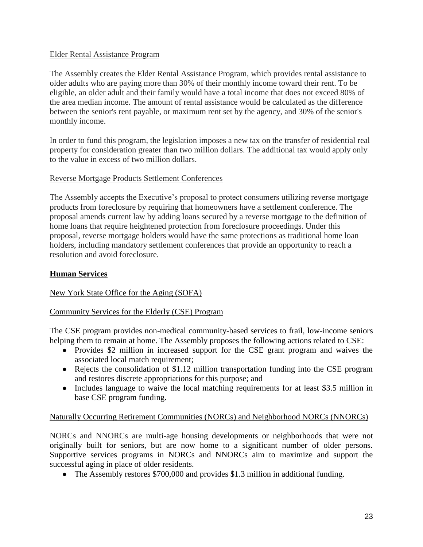# Elder Rental Assistance Program

The Assembly creates the Elder Rental Assistance Program, which provides rental assistance to older adults who are paying more than 30% of their monthly income toward their rent. To be eligible, an older adult and their family would have a total income that does not exceed 80% of the area median income. The amount of rental assistance would be calculated as the difference between the senior's rent payable, or maximum rent set by the agency, and 30% of the senior's monthly income.

In order to fund this program, the legislation imposes a new tax on the transfer of residential real property for consideration greater than two million dollars. The additional tax would apply only to the value in excess of two million dollars.

# Reverse Mortgage Products Settlement Conferences

The Assembly accepts the Executive's proposal to protect consumers utilizing reverse mortgage products from foreclosure by requiring that homeowners have a settlement conference. The proposal amends current law by adding loans secured by a reverse mortgage to the definition of home loans that require heightened protection from foreclosure proceedings. Under this proposal, reverse mortgage holders would have the same protections as traditional home loan holders, including mandatory settlement conferences that provide an opportunity to reach a resolution and avoid foreclosure.

# **Human Services**

# New York State Office for the Aging (SOFA)

### Community Services for the Elderly (CSE) Program

The CSE program provides non-medical community-based services to frail, low-income seniors helping them to remain at home. The Assembly proposes the following actions related to CSE:

- Provides \$2 million in increased support for the CSE grant program and waives the associated local match requirement;
- Rejects the consolidation of \$1.12 million transportation funding into the CSE program and restores discrete appropriations for this purpose; and
- Includes language to waive the local matching requirements for at least \$3.5 million in base CSE program funding.

### Naturally Occurring Retirement Communities (NORCs) and Neighborhood NORCs (NNORCs)

NORCs and NNORCs are multi-age housing developments or neighborhoods that were not originally built for seniors, but are now home to a significant number of older persons. Supportive services programs in NORCs and NNORCs aim to maximize and support the successful aging in place of older residents.

• The Assembly restores \$700,000 and provides \$1.3 million in additional funding.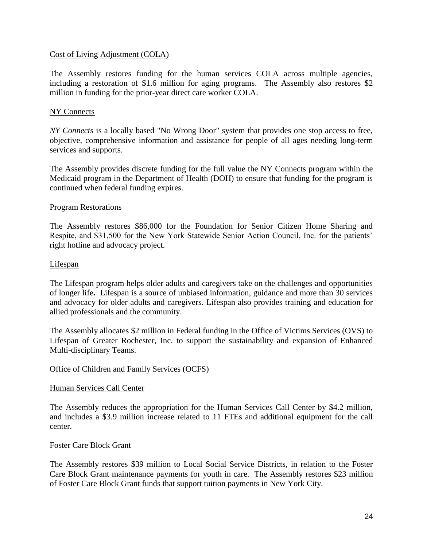### Cost of Living Adjustment (COLA)

The Assembly restores funding for the human services COLA across multiple agencies, including a restoration of \$1.6 million for aging programs. The Assembly also restores \$2 million in funding for the prior-year direct care worker COLA.

### NY Connects

*NY Connects* is a locally based "No Wrong Door" system that provides one stop access to free, objective, comprehensive information and assistance for people of all ages needing long-term services and supports.

The Assembly provides discrete funding for the full value the NY Connects program within the Medicaid program in the Department of Health (DOH) to ensure that funding for the program is continued when federal funding expires.

#### Program Restorations

The Assembly restores \$86,000 for the Foundation for Senior Citizen Home Sharing and Respite, and \$31,500 for the New York Statewide Senior Action Council, Inc. for the patients' right hotline and advocacy project.

#### Lifespan

The Lifespan program helps older adults and caregivers take on the challenges and opportunities of longer life**.** Lifespan is a source of unbiased information, guidance and more than 30 services and advocacy for older adults and caregivers. Lifespan also provides training and education for allied professionals and the community.

The Assembly allocates \$2 million in Federal funding in the Office of Victims Services (OVS) to Lifespan of Greater Rochester, Inc. to support the sustainability and expansion of Enhanced Multi-disciplinary Teams.

#### Office of Children and Family Services (OCFS)

#### Human Services Call Center

The Assembly reduces the appropriation for the Human Services Call Center by \$4.2 million, and includes a \$3.9 million increase related to 11 FTEs and additional equipment for the call center.

#### Foster Care Block Grant

The Assembly restores \$39 million to Local Social Service Districts, in relation to the Foster Care Block Grant maintenance payments for youth in care. The Assembly restores \$23 million of Foster Care Block Grant funds that support tuition payments in New York City.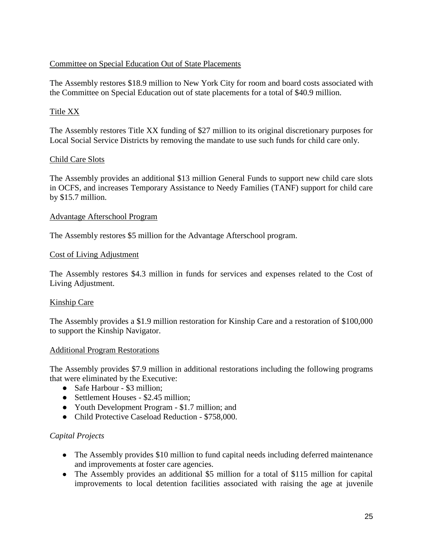# Committee on Special Education Out of State Placements

The Assembly restores \$18.9 million to New York City for room and board costs associated with the Committee on Special Education out of state placements for a total of \$40.9 million.

# Title XX

The Assembly restores Title XX funding of \$27 million to its original discretionary purposes for Local Social Service Districts by removing the mandate to use such funds for child care only.

### Child Care Slots

The Assembly provides an additional \$13 million General Funds to support new child care slots in OCFS, and increases Temporary Assistance to Needy Families (TANF) support for child care by \$15.7 million.

### Advantage Afterschool Program

The Assembly restores \$5 million for the Advantage Afterschool program.

#### Cost of Living Adjustment

The Assembly restores \$4.3 million in funds for services and expenses related to the Cost of Living Adjustment.

### Kinship Care

The Assembly provides a \$1.9 million restoration for Kinship Care and a restoration of \$100,000 to support the Kinship Navigator.

#### Additional Program Restorations

The Assembly provides \$7.9 million in additional restorations including the following programs that were eliminated by the Executive:

- Safe Harbour \$3 million;
- Settlement Houses \$2.45 million:
- Youth Development Program \$1.7 million; and
- Child Protective Caseload Reduction \$758,000.

### *Capital Projects*

- The Assembly provides \$10 million to fund capital needs including deferred maintenance and improvements at foster care agencies.
- The Assembly provides an additional \$5 million for a total of \$115 million for capital improvements to local detention facilities associated with raising the age at juvenile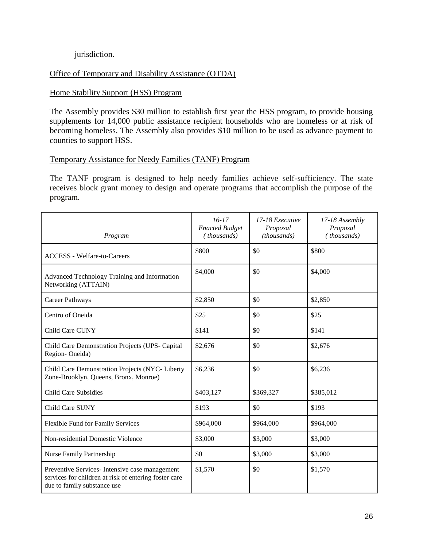### jurisdiction.

### Office of Temporary and Disability Assistance (OTDA)

### Home Stability Support (HSS) Program

The Assembly provides \$30 million to establish first year the HSS program, to provide housing supplements for 14,000 public assistance recipient households who are homeless or at risk of becoming homeless. The Assembly also provides \$10 million to be used as advance payment to counties to support HSS.

### Temporary Assistance for Needy Families (TANF) Program

The TANF program is designed to help needy families achieve self-sufficiency. The state receives block grant money to design and operate programs that accomplish the purpose of the program.

| Program                                                                                                                                | $16-17$<br><b>Enacted Budget</b><br>(thousands) | 17-18 Executive<br>Proposal<br>(thousands) | 17-18 Assembly<br>Proposal<br>(thousands) |
|----------------------------------------------------------------------------------------------------------------------------------------|-------------------------------------------------|--------------------------------------------|-------------------------------------------|
| <b>ACCESS</b> - Welfare-to-Careers                                                                                                     | \$800                                           | \$0                                        | \$800                                     |
| Advanced Technology Training and Information<br>Networking (ATTAIN)                                                                    | \$4,000                                         | \$0                                        | \$4,000                                   |
| Career Pathways                                                                                                                        | \$2,850                                         | \$0                                        | \$2,850                                   |
| Centro of Oneida                                                                                                                       | \$25                                            | \$0                                        | \$25                                      |
| Child Care CUNY                                                                                                                        | \$141                                           | \$0                                        | \$141                                     |
| Child Care Demonstration Projects (UPS-Capital<br>Region-Oneida)                                                                       | \$2,676                                         | \$0                                        | \$2,676                                   |
| Child Care Demonstration Projects (NYC- Liberty<br>Zone-Brooklyn, Queens, Bronx, Monroe)                                               | \$6,236                                         | \$0                                        | \$6,236                                   |
| <b>Child Care Subsidies</b>                                                                                                            | \$403,127                                       | \$369,327                                  | \$385,012                                 |
| Child Care SUNY                                                                                                                        | \$193                                           | \$0                                        | \$193                                     |
| Flexible Fund for Family Services                                                                                                      | \$964,000                                       | \$964,000                                  | \$964,000                                 |
| Non-residential Domestic Violence                                                                                                      | \$3,000                                         | \$3,000                                    | \$3,000                                   |
| <b>Nurse Family Partnership</b>                                                                                                        | \$0                                             | \$3,000                                    | \$3,000                                   |
| Preventive Services- Intensive case management<br>services for children at risk of entering foster care<br>due to family substance use | \$1,570                                         | \$0                                        | \$1,570                                   |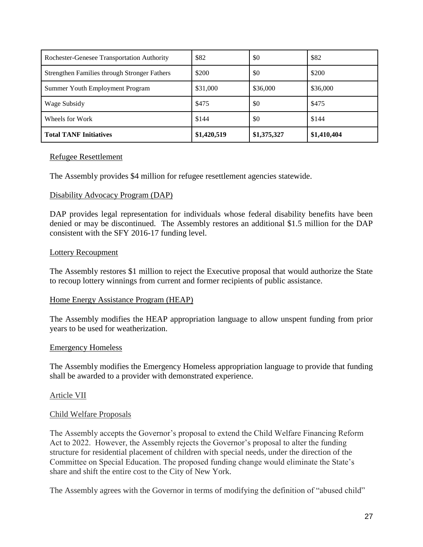| Rochester-Genesee Transportation Authority   | \$82        | \$0         | \$82        |
|----------------------------------------------|-------------|-------------|-------------|
| Strengthen Families through Stronger Fathers | \$200       | \$0         | \$200       |
| Summer Youth Employment Program              | \$31,000    | \$36,000    | \$36,000    |
| Wage Subsidy                                 | \$475       | \$0         | \$475       |
| Wheels for Work                              | \$144       | \$0         | \$144       |
| <b>Total TANF Initiatives</b>                | \$1,420,519 | \$1,375,327 | \$1,410,404 |

#### Refugee Resettlement

The Assembly provides \$4 million for refugee resettlement agencies statewide.

#### Disability Advocacy Program (DAP)

DAP provides legal representation for individuals whose federal disability benefits have been denied or may be discontinued. The Assembly restores an additional \$1.5 million for the DAP consistent with the SFY 2016-17 funding level.

#### Lottery Recoupment

The Assembly restores \$1 million to reject the Executive proposal that would authorize the State to recoup lottery winnings from current and former recipients of public assistance.

#### Home Energy Assistance Program (HEAP)

The Assembly modifies the HEAP appropriation language to allow unspent funding from prior years to be used for weatherization.

### Emergency Homeless

The Assembly modifies the Emergency Homeless appropriation language to provide that funding shall be awarded to a provider with demonstrated experience.

### Article VII

### Child Welfare Proposals

The Assembly accepts the Governor's proposal to extend the Child Welfare Financing Reform Act to 2022. However, the Assembly rejects the Governor's proposal to alter the funding structure for residential placement of children with special needs, under the direction of the Committee on Special Education. The proposed funding change would eliminate the State's share and shift the entire cost to the City of New York.

The Assembly agrees with the Governor in terms of modifying the definition of "abused child"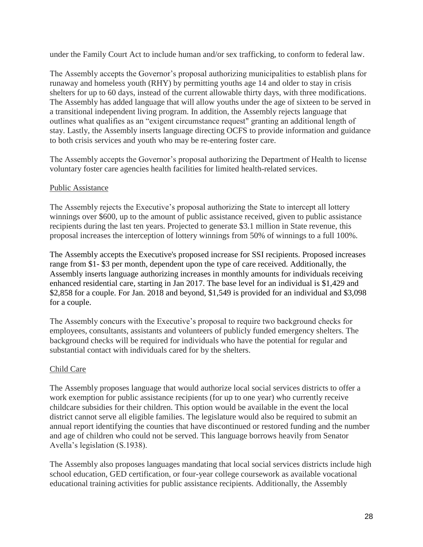under the Family Court Act to include human and/or sex trafficking, to conform to federal law.

The Assembly accepts the Governor's proposal authorizing municipalities to establish plans for runaway and homeless youth (RHY) by permitting youths age 14 and older to stay in crisis shelters for up to 60 days, instead of the current allowable thirty days, with three modifications. The Assembly has added language that will allow youths under the age of sixteen to be served in a transitional independent living program. In addition, the Assembly rejects language that outlines what qualifies as an "exigent circumstance request" granting an additional length of stay. Lastly, the Assembly inserts language directing OCFS to provide information and guidance to both crisis services and youth who may be re-entering foster care.

The Assembly accepts the Governor's proposal authorizing the Department of Health to license voluntary foster care agencies health facilities for limited health-related services.

# Public Assistance

The Assembly rejects the Executive's proposal authorizing the State to intercept all lottery winnings over \$600, up to the amount of public assistance received, given to public assistance recipients during the last ten years. Projected to generate \$3.1 million in State revenue, this proposal increases the interception of lottery winnings from 50% of winnings to a full 100%.

The Assembly accepts the Executive's proposed increase for SSI recipients. Proposed increases range from \$1- \$3 per month, dependent upon the type of care received. Additionally, the Assembly inserts language authorizing increases in monthly amounts for individuals receiving enhanced residential care, starting in Jan 2017. The base level for an individual is \$1,429 and \$2,858 for a couple. For Jan. 2018 and beyond, \$1,549 is provided for an individual and \$3,098 for a couple.

The Assembly concurs with the Executive's proposal to require two background checks for employees, consultants, assistants and volunteers of publicly funded emergency shelters. The background checks will be required for individuals who have the potential for regular and substantial contact with individuals cared for by the shelters.

# Child Care

The Assembly proposes language that would authorize local social services districts to offer a work exemption for public assistance recipients (for up to one year) who currently receive childcare subsidies for their children. This option would be available in the event the local district cannot serve all eligible families. The legislature would also be required to submit an annual report identifying the counties that have discontinued or restored funding and the number and age of children who could not be served. This language borrows heavily from Senator Avella's legislation (S.1938).

The Assembly also proposes languages mandating that local social services districts include high school education, GED certification, or four-year college coursework as available vocational educational training activities for public assistance recipients. Additionally, the Assembly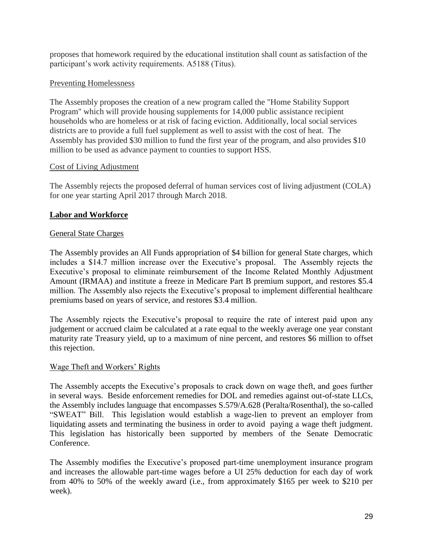proposes that homework required by the educational institution shall count as satisfaction of the participant's work activity requirements. A5188 (Titus).

# Preventing Homelessness

The Assembly proposes the creation of a new program called the "Home Stability Support Program" which will provide housing supplements for 14,000 public assistance recipient households who are homeless or at risk of facing eviction. Additionally, local social services districts are to provide a full fuel supplement as well to assist with the cost of heat. The Assembly has provided \$30 million to fund the first year of the program, and also provides \$10 million to be used as advance payment to counties to support HSS.

# Cost of Living Adjustment

The Assembly rejects the proposed deferral of human services cost of living adjustment (COLA) for one year starting April 2017 through March 2018.

# **Labor and Workforce**

# General State Charges

The Assembly provides an All Funds appropriation of \$4 billion for general State charges, which includes a \$14.7 million increase over the Executive's proposal. The Assembly rejects the Executive's proposal to eliminate reimbursement of the Income Related Monthly Adjustment Amount (IRMAA) and institute a freeze in Medicare Part B premium support, and restores \$5.4 million. The Assembly also rejects the Executive's proposal to implement differential healthcare premiums based on years of service, and restores \$3.4 million.

The Assembly rejects the Executive's proposal to require the rate of interest paid upon any judgement or accrued claim be calculated at a rate equal to the weekly average one year constant maturity rate Treasury yield, up to a maximum of nine percent, and restores \$6 million to offset this rejection.

# Wage Theft and Workers' Rights

The Assembly accepts the Executive's proposals to crack down on wage theft, and goes further in several ways. Beside enforcement remedies for DOL and remedies against out-of-state LLCs, the Assembly includes language that encompasses S.579/A.628 (Peralta/Rosenthal), the so-called "SWEAT" Bill. This legislation would establish a wage-lien to prevent an employer from liquidating assets and terminating the business in order to avoid paying a wage theft judgment. This legislation has historically been supported by members of the Senate Democratic Conference.

The Assembly modifies the Executive's proposed part-time unemployment insurance program and increases the allowable part-time wages before a UI 25% deduction for each day of work from 40% to 50% of the weekly award (i.e., from approximately \$165 per week to \$210 per week).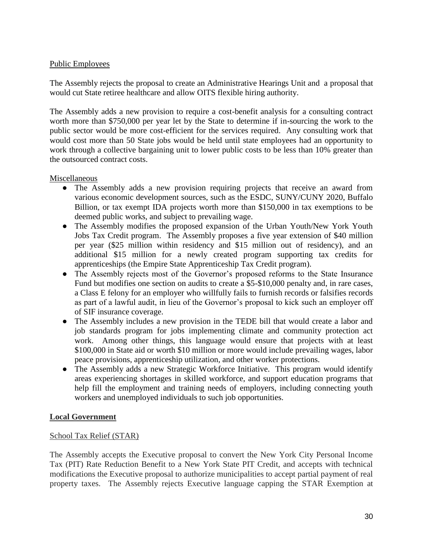# Public Employees

The Assembly rejects the proposal to create an Administrative Hearings Unit and a proposal that would cut State retiree healthcare and allow OITS flexible hiring authority.

The Assembly adds a new provision to require a cost-benefit analysis for a consulting contract worth more than \$750,000 per year let by the State to determine if in-sourcing the work to the public sector would be more cost-efficient for the services required. Any consulting work that would cost more than 50 State jobs would be held until state employees had an opportunity to work through a collective bargaining unit to lower public costs to be less than 10% greater than the outsourced contract costs.

# Miscellaneous

- The Assembly adds a new provision requiring projects that receive an award from various economic development sources, such as the ESDC, SUNY/CUNY 2020, Buffalo Billion, or tax exempt IDA projects worth more than \$150,000 in tax exemptions to be deemed public works, and subject to prevailing wage.
- The Assembly modifies the proposed expansion of the Urban Youth/New York Youth Jobs Tax Credit program. The Assembly proposes a five year extension of \$40 million per year (\$25 million within residency and \$15 million out of residency), and an additional \$15 million for a newly created program supporting tax credits for apprenticeships (the Empire State Apprenticeship Tax Credit program).
- The Assembly rejects most of the Governor's proposed reforms to the State Insurance Fund but modifies one section on audits to create a \$5-\$10,000 penalty and, in rare cases, a Class E felony for an employer who willfully fails to furnish records or falsifies records as part of a lawful audit, in lieu of the Governor's proposal to kick such an employer off of SIF insurance coverage.
- The Assembly includes a new provision in the TEDE bill that would create a labor and job standards program for jobs implementing climate and community protection act work. Among other things, this language would ensure that projects with at least \$100,000 in State aid or worth \$10 million or more would include prevailing wages, labor peace provisions, apprenticeship utilization, and other worker protections.
- The Assembly adds a new Strategic Workforce Initiative. This program would identify areas experiencing shortages in skilled workforce, and support education programs that help fill the employment and training needs of employers, including connecting youth workers and unemployed individuals to such job opportunities.

# **Local Government**

# School Tax Relief (STAR)

The Assembly accepts the Executive proposal to convert the New York City Personal Income Tax (PIT) Rate Reduction Benefit to a New York State PIT Credit, and accepts with technical modifications the Executive proposal to authorize municipalities to accept partial payment of real property taxes. The Assembly rejects Executive language capping the STAR Exemption at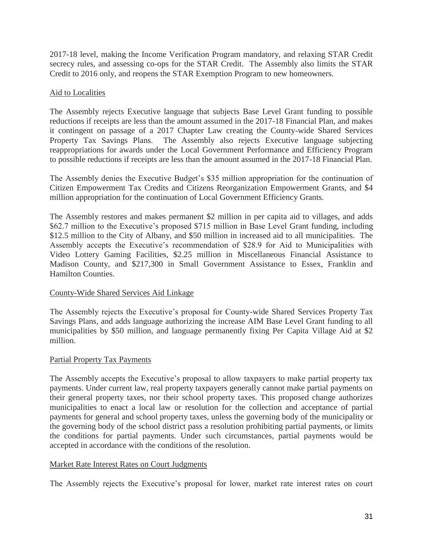2017-18 level, making the Income Verification Program mandatory, and relaxing STAR Credit secrecy rules, and assessing co-ops for the STAR Credit. The Assembly also limits the STAR Credit to 2016 only, and reopens the STAR Exemption Program to new homeowners.

# Aid to Localities

The Assembly rejects Executive language that subjects Base Level Grant funding to possible reductions if receipts are less than the amount assumed in the 2017-18 Financial Plan, and makes it contingent on passage of a 2017 Chapter Law creating the County-wide Shared Services Property Tax Savings Plans. The Assembly also rejects Executive language subjecting reappropriations for awards under the Local Government Performance and Efficiency Program to possible reductions if receipts are less than the amount assumed in the 2017-18 Financial Plan.

The Assembly denies the Executive Budget's \$35 million appropriation for the continuation of Citizen Empowerment Tax Credits and Citizens Reorganization Empowerment Grants, and \$4 million appropriation for the continuation of Local Government Efficiency Grants.

The Assembly restores and makes permanent \$2 million in per capita aid to villages, and adds \$62.7 million to the Executive's proposed \$715 million in Base Level Grant funding, including \$12.5 million to the City of Albany, and \$50 million in increased aid to all municipalities. The Assembly accepts the Executive's recommendation of \$28.9 for Aid to Municipalities with Video Lottery Gaming Facilities, \$2.25 million in Miscellaneous Financial Assistance to Madison County, and \$217,300 in Small Government Assistance to Essex, Franklin and Hamilton Counties.

# County-Wide Shared Services Aid Linkage

The Assembly rejects the Executive's proposal for County-wide Shared Services Property Tax Savings Plans, and adds language authorizing the increase AIM Base Level Grant funding to all municipalities by \$50 million, and language permanently fixing Per Capita Village Aid at \$2 million.

### Partial Property Tax Payments

The Assembly accepts the Executive's proposal to allow taxpayers to make partial property tax payments. Under current law, real property taxpayers generally cannot make partial payments on their general property taxes, nor their school property taxes. This proposed change authorizes municipalities to enact a local law or resolution for the collection and acceptance of partial payments for general and school property taxes, unless the governing body of the municipality or the governing body of the school district pass a resolution prohibiting partial payments, or limits the conditions for partial payments. Under such circumstances, partial payments would be accepted in accordance with the conditions of the resolution.

### Market Rate Interest Rates on Court Judgments

The Assembly rejects the Executive's proposal for lower, market rate interest rates on court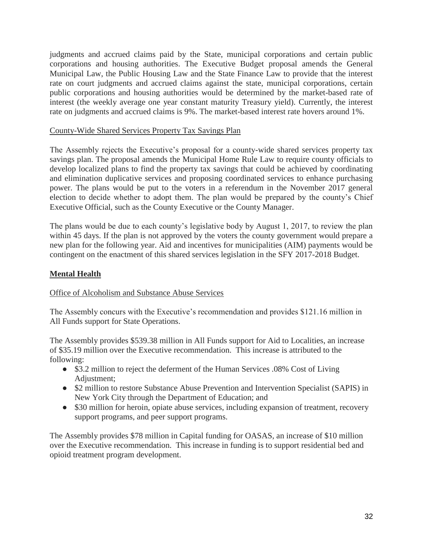judgments and accrued claims paid by the State, municipal corporations and certain public corporations and housing authorities. The Executive Budget proposal amends the General Municipal Law, the Public Housing Law and the State Finance Law to provide that the interest rate on court judgments and accrued claims against the state, municipal corporations, certain public corporations and housing authorities would be determined by the market-based rate of interest (the weekly average one year constant maturity Treasury yield). Currently, the interest rate on judgments and accrued claims is 9%. The market-based interest rate hovers around 1%.

# County-Wide Shared Services Property Tax Savings Plan

The Assembly rejects the Executive's proposal for a county-wide shared services property tax savings plan. The proposal amends the Municipal Home Rule Law to require county officials to develop localized plans to find the property tax savings that could be achieved by coordinating and elimination duplicative services and proposing coordinated services to enhance purchasing power. The plans would be put to the voters in a referendum in the November 2017 general election to decide whether to adopt them. The plan would be prepared by the county's Chief Executive Official, such as the County Executive or the County Manager.

The plans would be due to each county's legislative body by August 1, 2017, to review the plan within 45 days. If the plan is not approved by the voters the county government would prepare a new plan for the following year. Aid and incentives for municipalities (AIM) payments would be contingent on the enactment of this shared services legislation in the SFY 2017-2018 Budget.

# **Mental Health**

# Office of Alcoholism and Substance Abuse Services

The Assembly concurs with the Executive's recommendation and provides \$121.16 million in All Funds support for State Operations.

The Assembly provides \$539.38 million in All Funds support for Aid to Localities, an increase of \$35.19 million over the Executive recommendation. This increase is attributed to the following:

- \$3.2 million to reject the deferment of the Human Services .08% Cost of Living Adjustment;
- \$2 million to restore Substance Abuse Prevention and Intervention Specialist (SAPIS) in New York City through the Department of Education; and
- \$30 million for heroin, opiate abuse services, including expansion of treatment, recovery support programs, and peer support programs.

The Assembly provides \$78 million in Capital funding for OASAS, an increase of \$10 million over the Executive recommendation. This increase in funding is to support residential bed and opioid treatment program development.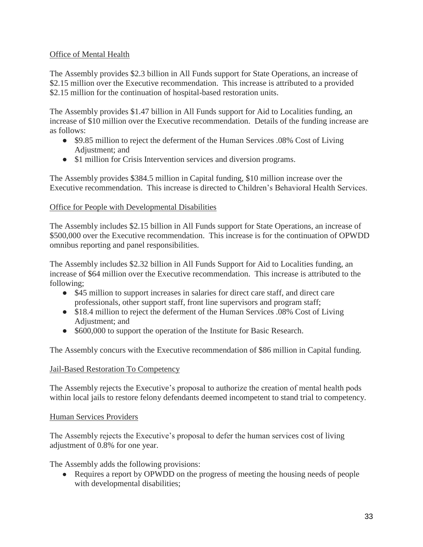# Office of Mental Health

The Assembly provides \$2.3 billion in All Funds support for State Operations, an increase of \$2.15 million over the Executive recommendation. This increase is attributed to a provided \$2.15 million for the continuation of hospital-based restoration units.

The Assembly provides \$1.47 billion in All Funds support for Aid to Localities funding, an increase of \$10 million over the Executive recommendation. Details of the funding increase are as follows:

- \$9.85 million to reject the deferment of the Human Services .08% Cost of Living Adjustment; and
- \$1 million for Crisis Intervention services and diversion programs.

The Assembly provides \$384.5 million in Capital funding, \$10 million increase over the Executive recommendation. This increase is directed to Children's Behavioral Health Services.

# Office for People with Developmental Disabilities

The Assembly includes \$2.15 billion in All Funds support for State Operations, an increase of \$500,000 over the Executive recommendation. This increase is for the continuation of OPWDD omnibus reporting and panel responsibilities.

The Assembly includes \$2.32 billion in All Funds Support for Aid to Localities funding, an increase of \$64 million over the Executive recommendation. This increase is attributed to the following;

- \$45 million to support increases in salaries for direct care staff, and direct care professionals, other support staff, front line supervisors and program staff;
- \$18.4 million to reject the deferment of the Human Services .08% Cost of Living Adjustment; and
- \$600,000 to support the operation of the Institute for Basic Research.

The Assembly concurs with the Executive recommendation of \$86 million in Capital funding.

# Jail-Based Restoration To Competency

The Assembly rejects the Executive's proposal to authorize the creation of mental health pods within local jails to restore felony defendants deemed incompetent to stand trial to competency.

# Human Services Providers

The Assembly rejects the Executive's proposal to defer the human services cost of living adjustment of 0.8% for one year.

The Assembly adds the following provisions:

• Requires a report by OPWDD on the progress of meeting the housing needs of people with developmental disabilities;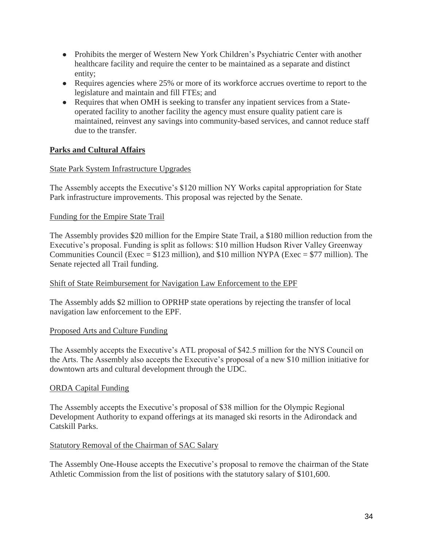- Prohibits the merger of Western New York Children's Psychiatric Center with another healthcare facility and require the center to be maintained as a separate and distinct entity;
- Requires agencies where 25% or more of its workforce accrues overtime to report to the legislature and maintain and fill FTEs; and
- Requires that when OMH is seeking to transfer any inpatient services from a Stateoperated facility to another facility the agency must ensure quality patient care is maintained, reinvest any savings into community-based services, and cannot reduce staff due to the transfer.

# **Parks and Cultural Affairs**

# State Park System Infrastructure Upgrades

The Assembly accepts the Executive's \$120 million NY Works capital appropriation for State Park infrastructure improvements. This proposal was rejected by the Senate.

# Funding for the Empire State Trail

The Assembly provides \$20 million for the Empire State Trail, a \$180 million reduction from the Executive's proposal. Funding is split as follows: \$10 million Hudson River Valley Greenway Communities Council (Exec =  $$123$  million), and  $$10$  million NYPA (Exec =  $$77$  million). The Senate rejected all Trail funding.

### Shift of State Reimbursement for Navigation Law Enforcement to the EPF

The Assembly adds \$2 million to OPRHP state operations by rejecting the transfer of local navigation law enforcement to the EPF.

### Proposed Arts and Culture Funding

The Assembly accepts the Executive's ATL proposal of \$42.5 million for the NYS Council on the Arts. The Assembly also accepts the Executive's proposal of a new \$10 million initiative for downtown arts and cultural development through the UDC.

### ORDA Capital Funding

The Assembly accepts the Executive's proposal of \$38 million for the Olympic Regional Development Authority to expand offerings at its managed ski resorts in the Adirondack and Catskill Parks.

### Statutory Removal of the Chairman of SAC Salary

The Assembly One-House accepts the Executive's proposal to remove the chairman of the State Athletic Commission from the list of positions with the statutory salary of \$101,600.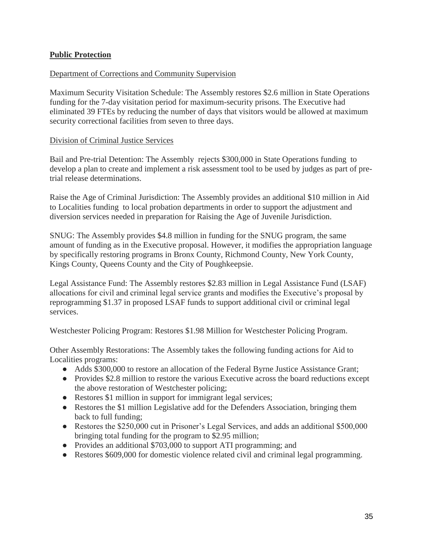# **Public Protection**

### Department of Corrections and Community Supervision

Maximum Security Visitation Schedule: The Assembly restores \$2.6 million in State Operations funding for the 7-day visitation period for maximum-security prisons. The Executive had eliminated 39 FTEs by reducing the number of days that visitors would be allowed at maximum security correctional facilities from seven to three days.

#### Division of Criminal Justice Services

Bail and Pre-trial Detention: The Assembly rejects \$300,000 in State Operations funding to develop a plan to create and implement a risk assessment tool to be used by judges as part of pretrial release determinations.

Raise the Age of Criminal Jurisdiction: The Assembly provides an additional \$10 million in Aid to Localities funding to local probation departments in order to support the adjustment and diversion services needed in preparation for Raising the Age of Juvenile Jurisdiction.

SNUG: The Assembly provides \$4.8 million in funding for the SNUG program, the same amount of funding as in the Executive proposal. However, it modifies the appropriation language by specifically restoring programs in Bronx County, Richmond County, New York County, Kings County, Queens County and the City of Poughkeepsie.

Legal Assistance Fund: The Assembly restores \$2.83 million in Legal Assistance Fund (LSAF) allocations for civil and criminal legal service grants and modifies the Executive's proposal by reprogramming \$1.37 in proposed LSAF funds to support additional civil or criminal legal services.

Westchester Policing Program: Restores \$1.98 Million for Westchester Policing Program.

Other Assembly Restorations: The Assembly takes the following funding actions for Aid to Localities programs:

- Adds \$300,000 to restore an allocation of the Federal Byrne Justice Assistance Grant;
- Provides \$2.8 million to restore the various Executive across the board reductions except the above restoration of Westchester policing;
- Restores \$1 million in support for immigrant legal services;
- Restores the \$1 million Legislative add for the Defenders Association, bringing them back to full funding;
- Restores the \$250,000 cut in Prisoner's Legal Services, and adds an additional \$500,000 bringing total funding for the program to \$2.95 million;
- Provides an additional \$703,000 to support ATI programming; and
- Restores \$609,000 for domestic violence related civil and criminal legal programming.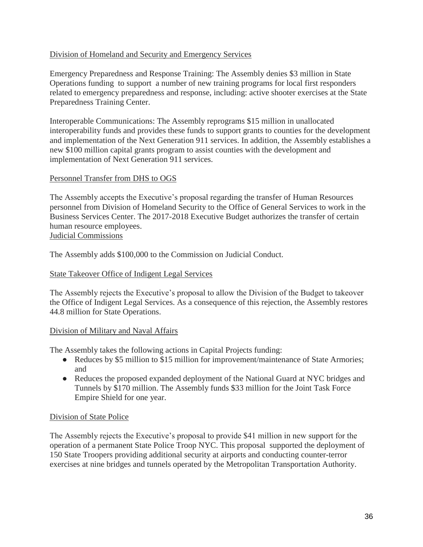# Division of Homeland and Security and Emergency Services

Emergency Preparedness and Response Training: The Assembly denies \$3 million in State Operations funding to support a number of new training programs for local first responders related to emergency preparedness and response, including: active shooter exercises at the State Preparedness Training Center.

Interoperable Communications: The Assembly reprograms \$15 million in unallocated interoperability funds and provides these funds to support grants to counties for the development and implementation of the Next Generation 911 services. In addition, the Assembly establishes a new \$100 million capital grants program to assist counties with the development and implementation of Next Generation 911 services.

# Personnel Transfer from DHS to OGS

The Assembly accepts the Executive's proposal regarding the transfer of Human Resources personnel from Division of Homeland Security to the Office of General Services to work in the Business Services Center. The 2017-2018 Executive Budget authorizes the transfer of certain human resource employees. Judicial Commissions

The Assembly adds \$100,000 to the Commission on Judicial Conduct.

### State Takeover Office of Indigent Legal Services

The Assembly rejects the Executive's proposal to allow the Division of the Budget to takeover the Office of Indigent Legal Services. As a consequence of this rejection, the Assembly restores 44.8 million for State Operations.

### Division of Military and Naval Affairs

The Assembly takes the following actions in Capital Projects funding:

- Reduces by \$5 million to \$15 million for improvement/maintenance of State Armories; and
- Reduces the proposed expanded deployment of the National Guard at NYC bridges and Tunnels by \$170 million. The Assembly funds \$33 million for the Joint Task Force Empire Shield for one year.

# Division of State Police

The Assembly rejects the Executive's proposal to provide \$41 million in new support for the operation of a permanent State Police Troop NYC. This proposal supported the deployment of 150 State Troopers providing additional security at airports and conducting counter-terror exercises at nine bridges and tunnels operated by the Metropolitan Transportation Authority.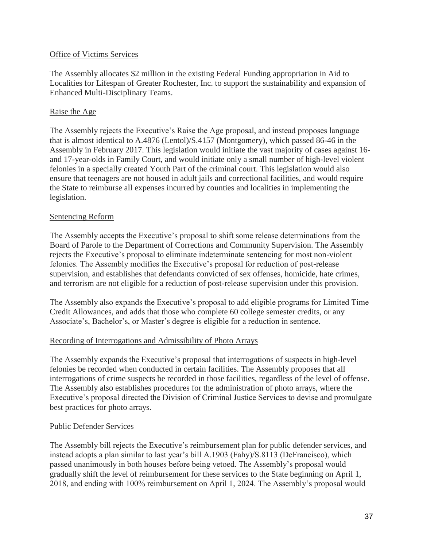## Office of Victims Services

The Assembly allocates \$2 million in the existing Federal Funding appropriation in Aid to Localities for Lifespan of Greater Rochester, Inc. to support the sustainability and expansion of Enhanced Multi-Disciplinary Teams.

# Raise the Age

The Assembly rejects the Executive's Raise the Age proposal, and instead proposes language that is almost identical to A.4876 (Lentol)/S.4157 (Montgomery), which passed 86-46 in the Assembly in February 2017. This legislation would initiate the vast majority of cases against 16 and 17-year-olds in Family Court, and would initiate only a small number of high-level violent felonies in a specially created Youth Part of the criminal court. This legislation would also ensure that teenagers are not housed in adult jails and correctional facilities, and would require the State to reimburse all expenses incurred by counties and localities in implementing the legislation.

# Sentencing Reform

The Assembly accepts the Executive's proposal to shift some release determinations from the Board of Parole to the Department of Corrections and Community Supervision. The Assembly rejects the Executive's proposal to eliminate indeterminate sentencing for most non-violent felonies. The Assembly modifies the Executive's proposal for reduction of post-release supervision, and establishes that defendants convicted of sex offenses, homicide, hate crimes, and terrorism are not eligible for a reduction of post-release supervision under this provision.

The Assembly also expands the Executive's proposal to add eligible programs for Limited Time Credit Allowances, and adds that those who complete 60 college semester credits, or any Associate's, Bachelor's, or Master's degree is eligible for a reduction in sentence.

# Recording of Interrogations and Admissibility of Photo Arrays

The Assembly expands the Executive's proposal that interrogations of suspects in high-level felonies be recorded when conducted in certain facilities. The Assembly proposes that all interrogations of crime suspects be recorded in those facilities, regardless of the level of offense. The Assembly also establishes procedures for the administration of photo arrays, where the Executive's proposal directed the Division of Criminal Justice Services to devise and promulgate best practices for photo arrays.

### Public Defender Services

The Assembly bill rejects the Executive's reimbursement plan for public defender services, and instead adopts a plan similar to last year's bill A.1903 (Fahy)/S.8113 (DeFrancisco), which passed unanimously in both houses before being vetoed. The Assembly's proposal would gradually shift the level of reimbursement for these services to the State beginning on April 1, 2018, and ending with 100% reimbursement on April 1, 2024. The Assembly's proposal would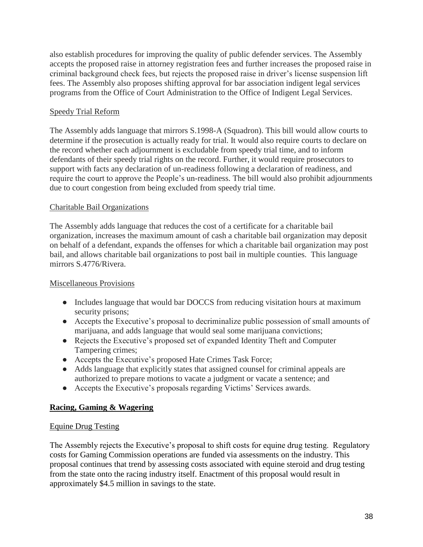also establish procedures for improving the quality of public defender services. The Assembly accepts the proposed raise in attorney registration fees and further increases the proposed raise in criminal background check fees, but rejects the proposed raise in driver's license suspension lift fees. The Assembly also proposes shifting approval for bar association indigent legal services programs from the Office of Court Administration to the Office of Indigent Legal Services.

# Speedy Trial Reform

The Assembly adds language that mirrors S.1998-A (Squadron). This bill would allow courts to determine if the prosecution is actually ready for trial. It would also require courts to declare on the record whether each adjournment is excludable from speedy trial time, and to inform defendants of their speedy trial rights on the record. Further, it would require prosecutors to support with facts any declaration of un-readiness following a declaration of readiness, and require the court to approve the People's un-readiness. The bill would also prohibit adjournments due to court congestion from being excluded from speedy trial time.

# Charitable Bail Organizations

The Assembly adds language that reduces the cost of a certificate for a charitable bail organization, increases the maximum amount of cash a charitable bail organization may deposit on behalf of a defendant, expands the offenses for which a charitable bail organization may post bail, and allows charitable bail organizations to post bail in multiple counties. This language mirrors S.4776/Rivera.

# Miscellaneous Provisions

- Includes language that would bar DOCCS from reducing visitation hours at maximum security prisons;
- Accepts the Executive's proposal to decriminalize public possession of small amounts of marijuana, and adds language that would seal some marijuana convictions;
- Rejects the Executive's proposed set of expanded Identity Theft and Computer Tampering crimes;
- Accepts the Executive's proposed Hate Crimes Task Force;
- Adds language that explicitly states that assigned counsel for criminal appeals are authorized to prepare motions to vacate a judgment or vacate a sentence; and
- Accepts the Executive's proposals regarding Victims' Services awards.

# **Racing, Gaming & Wagering**

# Equine Drug Testing

The Assembly rejects the Executive's proposal to shift costs for equine drug testing. Regulatory costs for Gaming Commission operations are funded via assessments on the industry. This proposal continues that trend by assessing costs associated with equine steroid and drug testing from the state onto the racing industry itself. Enactment of this proposal would result in approximately \$4.5 million in savings to the state.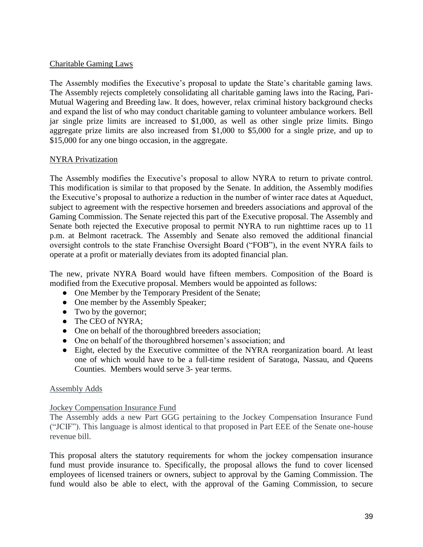# Charitable Gaming Laws

The Assembly modifies the Executive's proposal to update the State's charitable gaming laws. The Assembly rejects completely consolidating all charitable gaming laws into the Racing, Pari-Mutual Wagering and Breeding law. It does, however, relax criminal history background checks and expand the list of who may conduct charitable gaming to volunteer ambulance workers. Bell jar single prize limits are increased to \$1,000, as well as other single prize limits. Bingo aggregate prize limits are also increased from \$1,000 to \$5,000 for a single prize, and up to \$15,000 for any one bingo occasion, in the aggregate.

# NYRA Privatization

The Assembly modifies the Executive's proposal to allow NYRA to return to private control. This modification is similar to that proposed by the Senate. In addition, the Assembly modifies the Executive's proposal to authorize a reduction in the number of winter race dates at Aqueduct, subject to agreement with the respective horsemen and breeders associations and approval of the Gaming Commission. The Senate rejected this part of the Executive proposal. The Assembly and Senate both rejected the Executive proposal to permit NYRA to run nighttime races up to 11 p.m. at Belmont racetrack. The Assembly and Senate also removed the additional financial oversight controls to the state Franchise Oversight Board ("FOB"), in the event NYRA fails to operate at a profit or materially deviates from its adopted financial plan.

The new, private NYRA Board would have fifteen members. Composition of the Board is modified from the Executive proposal. Members would be appointed as follows:

- One Member by the Temporary President of the Senate;
- One member by the Assembly Speaker;
- Two by the governor;
- The CEO of NYRA;
- One on behalf of the thoroughbred breeders association;
- One on behalf of the thoroughbred horsemen's association; and
- Eight, elected by the Executive committee of the NYRA reorganization board. At least one of which would have to be a full-time resident of Saratoga, Nassau, and Queens Counties. Members would serve 3- year terms.

### Assembly Adds

## Jockey Compensation Insurance Fund

The Assembly adds a new Part GGG pertaining to the Jockey Compensation Insurance Fund ("JCIF"). This language is almost identical to that proposed in Part EEE of the Senate one-house revenue bill.

This proposal alters the statutory requirements for whom the jockey compensation insurance fund must provide insurance to. Specifically, the proposal allows the fund to cover licensed employees of licensed trainers or owners, subject to approval by the Gaming Commission. The fund would also be able to elect, with the approval of the Gaming Commission, to secure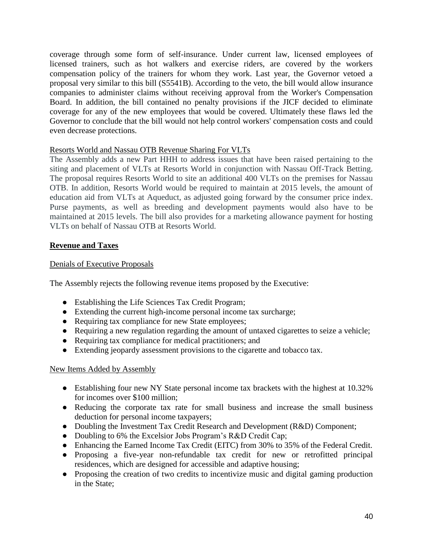coverage through some form of self-insurance. Under current law, licensed employees of licensed trainers, such as hot walkers and exercise riders, are covered by the workers compensation policy of the trainers for whom they work. Last year, the Governor vetoed a proposal very similar to this bill (S5541B). According to the veto, the bill would allow insurance companies to administer claims without receiving approval from the Worker's Compensation Board. In addition, the bill contained no penalty provisions if the JICF decided to eliminate coverage for any of the new employees that would be covered. Ultimately these flaws led the Governor to conclude that the bill would not help control workers' compensation costs and could even decrease protections.

# Resorts World and Nassau OTB Revenue Sharing For VLTs

The Assembly adds a new Part HHH to address issues that have been raised pertaining to the siting and placement of VLTs at Resorts World in conjunction with Nassau Off-Track Betting. The proposal requires Resorts World to site an additional 400 VLTs on the premises for Nassau OTB. In addition, Resorts World would be required to maintain at 2015 levels, the amount of education aid from VLTs at Aqueduct, as adjusted going forward by the consumer price index. Purse payments, as well as breeding and development payments would also have to be maintained at 2015 levels. The bill also provides for a marketing allowance payment for hosting VLTs on behalf of Nassau OTB at Resorts World.

# **Revenue and Taxes**

# Denials of Executive Proposals

The Assembly rejects the following revenue items proposed by the Executive:

- Establishing the Life Sciences Tax Credit Program;
- Extending the current high-income personal income tax surcharge;
- Requiring tax compliance for new State employees;
- Requiring a new regulation regarding the amount of untaxed cigarettes to seize a vehicle;
- Requiring tax compliance for medical practitioners; and
- Extending jeopardy assessment provisions to the cigarette and tobacco tax.

# New Items Added by Assembly

- Establishing four new NY State personal income tax brackets with the highest at 10.32% for incomes over \$100 million;
- Reducing the corporate tax rate for small business and increase the small business deduction for personal income taxpayers;
- Doubling the Investment Tax Credit Research and Development (R&D) Component;
- Doubling to 6% the Excelsior Jobs Program's R&D Credit Cap;
- Enhancing the Earned Income Tax Credit (EITC) from 30% to 35% of the Federal Credit.
- Proposing a five-year non-refundable tax credit for new or retrofitted principal residences, which are designed for accessible and adaptive housing;
- Proposing the creation of two credits to incentivize music and digital gaming production in the State;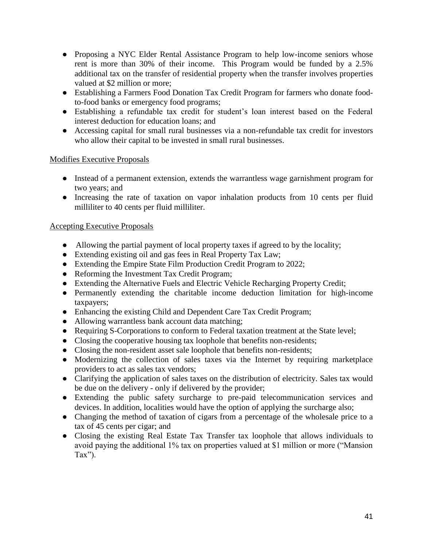- Proposing a NYC Elder Rental Assistance Program to help low-income seniors whose rent is more than 30% of their income. This Program would be funded by a 2.5% additional tax on the transfer of residential property when the transfer involves properties valued at \$2 million or more;
- Establishing a Farmers Food Donation Tax Credit Program for farmers who donate foodto-food banks or emergency food programs;
- Establishing a refundable tax credit for student's loan interest based on the Federal interest deduction for education loans; and
- Accessing capital for small rural businesses via a non-refundable tax credit for investors who allow their capital to be invested in small rural businesses.

# Modifies Executive Proposals

- Instead of a permanent extension, extends the warrantless wage garnishment program for two years; and
- Increasing the rate of taxation on vapor inhalation products from 10 cents per fluid milliliter to 40 cents per fluid milliliter.

# Accepting Executive Proposals

- Allowing the partial payment of local property taxes if agreed to by the locality;
- Extending existing oil and gas fees in Real Property Tax Law;
- Extending the Empire State Film Production Credit Program to 2022;
- Reforming the Investment Tax Credit Program;
- Extending the Alternative Fuels and Electric Vehicle Recharging Property Credit;
- Permanently extending the charitable income deduction limitation for high-income taxpayers;
- Enhancing the existing Child and Dependent Care Tax Credit Program;
- Allowing warrantless bank account data matching;
- Requiring S-Corporations to conform to Federal taxation treatment at the State level;
- Closing the cooperative housing tax loophole that benefits non-residents;
- Closing the non-resident asset sale loophole that benefits non-residents;
- Modernizing the collection of sales taxes via the Internet by requiring marketplace providers to act as sales tax vendors;
- Clarifying the application of sales taxes on the distribution of electricity. Sales tax would be due on the delivery - only if delivered by the provider;
- Extending the public safety surcharge to pre-paid telecommunication services and devices. In addition, localities would have the option of applying the surcharge also;
- Changing the method of taxation of cigars from a percentage of the wholesale price to a tax of 45 cents per cigar; and
- Closing the existing Real Estate Tax Transfer tax loophole that allows individuals to avoid paying the additional 1% tax on properties valued at \$1 million or more ("Mansion Tax").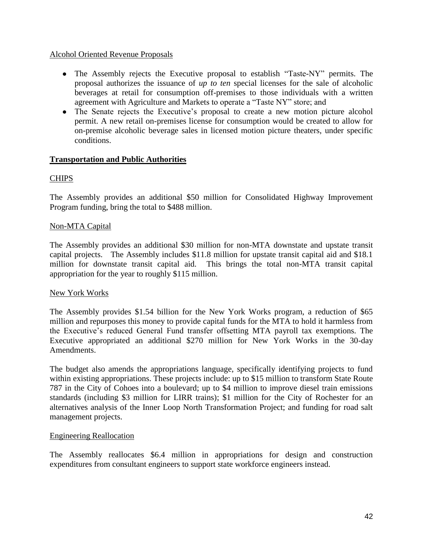### Alcohol Oriented Revenue Proposals

- The Assembly rejects the Executive proposal to establish "Taste-NY" permits. The proposal authorizes the issuance of *up to ten* special licenses for the sale of alcoholic beverages at retail for consumption off-premises to those individuals with a written agreement with Agriculture and Markets to operate a "Taste NY" store; and
- The Senate rejects the Executive's proposal to create a new motion picture alcohol permit. A new retail on-premises license for consumption would be created to allow for on-premise alcoholic beverage sales in licensed motion picture theaters, under specific conditions.

# **Transportation and Public Authorities**

# **CHIPS**

The Assembly provides an additional \$50 million for Consolidated Highway Improvement Program funding, bring the total to \$488 million.

# Non-MTA Capital

The Assembly provides an additional \$30 million for non-MTA downstate and upstate transit capital projects. The Assembly includes \$11.8 million for upstate transit capital aid and \$18.1 million for downstate transit capital aid. This brings the total non-MTA transit capital appropriation for the year to roughly \$115 million.

# New York Works

The Assembly provides \$1.54 billion for the New York Works program, a reduction of \$65 million and repurposes this money to provide capital funds for the MTA to hold it harmless from the Executive's reduced General Fund transfer offsetting MTA payroll tax exemptions. The Executive appropriated an additional \$270 million for New York Works in the 30-day Amendments.

The budget also amends the appropriations language, specifically identifying projects to fund within existing appropriations. These projects include: up to \$15 million to transform State Route 787 in the City of Cohoes into a boulevard; up to \$4 million to improve diesel train emissions standards (including \$3 million for LIRR trains); \$1 million for the City of Rochester for an alternatives analysis of the Inner Loop North Transformation Project; and funding for road salt management projects.

# Engineering Reallocation

The Assembly reallocates \$6.4 million in appropriations for design and construction expenditures from consultant engineers to support state workforce engineers instead.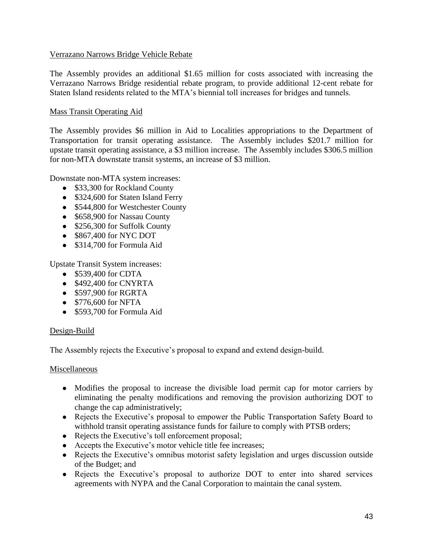# Verrazano Narrows Bridge Vehicle Rebate

The Assembly provides an additional \$1.65 million for costs associated with increasing the Verrazano Narrows Bridge residential rebate program, to provide additional 12-cent rebate for Staten Island residents related to the MTA's biennial toll increases for bridges and tunnels.

# Mass Transit Operating Aid

The Assembly provides \$6 million in Aid to Localities appropriations to the Department of Transportation for transit operating assistance. The Assembly includes \$201.7 million for upstate transit operating assistance, a \$3 million increase. The Assembly includes \$306.5 million for non-MTA downstate transit systems, an increase of \$3 million.

Downstate non-MTA system increases:

- \$33,300 for Rockland County
- \$324,600 for Staten Island Ferry
- \$544,800 for Westchester County
- \$658,900 for Nassau County
- \$256,300 for Suffolk County
- \$867,400 for NYC DOT
- \$314,700 for Formula Aid

Upstate Transit System increases:

- \$539,400 for CDTA
- $\bullet$  \$492,400 for CNYRTA
- \$597,900 for RGRTA
- \$776,600 for NFTA
- \$593,700 for Formula Aid

### Design-Build

The Assembly rejects the Executive's proposal to expand and extend design-build.

### Miscellaneous

- Modifies the proposal to increase the divisible load permit cap for motor carriers by eliminating the penalty modifications and removing the provision authorizing DOT to change the cap administratively;
- Rejects the Executive's proposal to empower the Public Transportation Safety Board to withhold transit operating assistance funds for failure to comply with PTSB orders;
- Rejects the Executive's toll enforcement proposal;
- Accepts the Executive's motor vehicle title fee increases;
- Rejects the Executive's omnibus motorist safety legislation and urges discussion outside of the Budget; and
- Rejects the Executive's proposal to authorize DOT to enter into shared services agreements with NYPA and the Canal Corporation to maintain the canal system.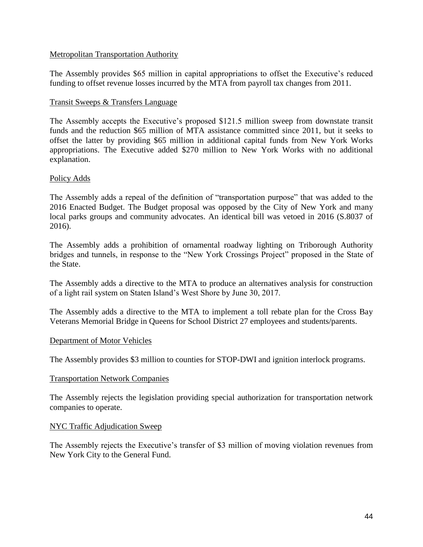## Metropolitan Transportation Authority

The Assembly provides \$65 million in capital appropriations to offset the Executive's reduced funding to offset revenue losses incurred by the MTA from payroll tax changes from 2011.

# Transit Sweeps & Transfers Language

The Assembly accepts the Executive's proposed \$121.5 million sweep from downstate transit funds and the reduction \$65 million of MTA assistance committed since 2011, but it seeks to offset the latter by providing \$65 million in additional capital funds from New York Works appropriations. The Executive added \$270 million to New York Works with no additional explanation.

# Policy Adds

The Assembly adds a repeal of the definition of "transportation purpose" that was added to the 2016 Enacted Budget. The Budget proposal was opposed by the City of New York and many local parks groups and community advocates. An identical bill was vetoed in 2016 (S.8037 of 2016).

The Assembly adds a prohibition of ornamental roadway lighting on Triborough Authority bridges and tunnels, in response to the "New York Crossings Project" proposed in the State of the State.

The Assembly adds a directive to the MTA to produce an alternatives analysis for construction of a light rail system on Staten Island's West Shore by June 30, 2017.

The Assembly adds a directive to the MTA to implement a toll rebate plan for the Cross Bay Veterans Memorial Bridge in Queens for School District 27 employees and students/parents.

### Department of Motor Vehicles

The Assembly provides \$3 million to counties for STOP-DWI and ignition interlock programs.

### Transportation Network Companies

The Assembly rejects the legislation providing special authorization for transportation network companies to operate.

### NYC Traffic Adjudication Sweep

The Assembly rejects the Executive's transfer of \$3 million of moving violation revenues from New York City to the General Fund.